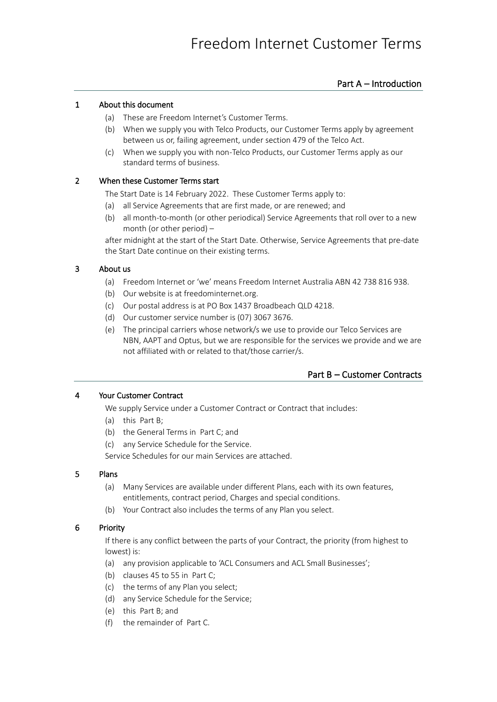# Part A – Introduction

# <span id="page-0-3"></span>1 About this document

- (a) These are Freedom Internet's Customer Terms.
- (b) When we supply you with Telco Products, our Customer Terms apply by agreement between us or, failing agreement, under section 479 of the Telco Act.
- (c) When we supply you with non-Telco Products, our Customer Terms apply as our standard terms of business.

# <span id="page-0-4"></span>2 When these Customer Terms start

The Start Date is 14 February 2022. These Customer Terms apply to:

- (a) all Service Agreements that are first made, or are renewed; and
- (b) all month-to-month (or other periodical) Service Agreements that roll over to a new month (or other period) –

after midnight at the start of the Start Date. Otherwise, Service Agreements that pre-date the Start Date continue on their existing terms.

# <span id="page-0-1"></span>3 About us

- (a) Freedom Internet or 'we' means Freedom Internet Australia ABN 42 738 816 938.
- (b) Our website is at freedominternet.org.
- (c) Our postal address is at PO Box 1437 Broadbeach QLD 4218.
- (d) Our customer service number is (07) 3067 3676.
- (e) The principal carriers whose network/s we use to provide our Telco Services are NBN, AAPT and Optus, but we are responsible for the services we provide and we are not affiliated with or related to that/those carrier/s.

# Part B – Customer Contracts

## <span id="page-0-2"></span><span id="page-0-0"></span>4 Your Customer Contract

We supply Service under a Customer Contract or Contract that includes:

- (a) this [Part B;](#page-0-0)
- (b) the General Terms i[n Part C;](#page-4-0) and
- (c) any Service Schedule for the Service.

Service Schedules for our main Services are attached.

## 5 Plans

- (a) Many Services are available under different Plans, each with its own features, entitlements, contract period, Charges and special conditions.
- (b) Your Contract also includes the terms of any Plan you select.

## 6 Priority

If there is any conflict between the parts of your Contract, the priority (from highest to lowest) is:

- (a) any provision applicable to 'ACL Consumers and ACL Small Businesses';
- (b) clause[s 45](#page-11-0) t[o 55](#page-13-0) in [Part C;](#page-4-0)
- (c) the terms of any Plan you select;
- (d) any Service Schedule for the Service;
- (e) this [Part B;](#page-0-0) and
- (f) the remainder o[f Part C.](#page-4-0)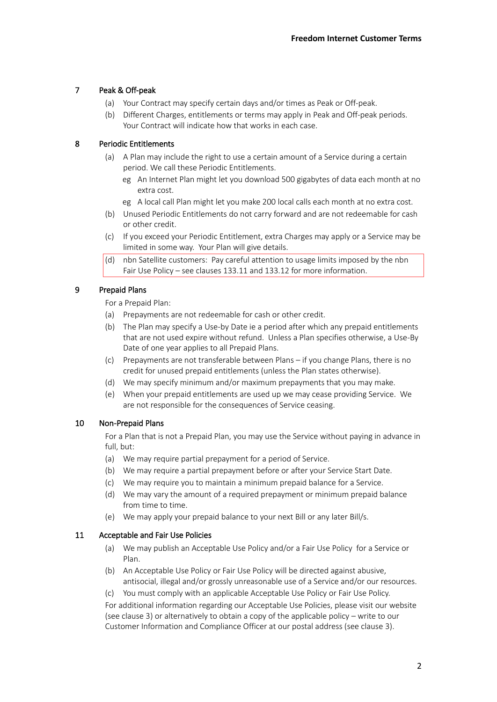# <span id="page-1-1"></span>7 Peak & Off-peak

- (a) Your Contract may specify certain days and/or times as Peak or Off-peak.
- (b) Different Charges, entitlements or terms may apply in Peak and Off-peak periods. Your Contract will indicate how that works in each case.

# <span id="page-1-2"></span>8 Periodic Entitlements

- (a) A Plan may include the right to use a certain amount of a Service during a certain period. We call these Periodic Entitlements.
	- eg An Internet Plan might let you download 500 gigabytes of data each month at no extra cost.
	- eg A local call Plan might let you make 200 local calls each month at no extra cost.
- (b) Unused Periodic Entitlements do not carry forward and are not redeemable for cash or other credit.
- (c) If you exceed your Periodic Entitlement, extra Charges may apply or a Service may be limited in some way. Your Plan will give details.
- (d) nbn Satellite customers: Pay careful attention to usage limits imposed by the nbn Fair Use Policy – see clause[s 133.11](#page-44-0) an[d 133.12](#page-44-1) for more information.

# <span id="page-1-3"></span>9 Prepaid Plans

For a Prepaid Plan:

- (a) Prepayments are not redeemable for cash or other credit.
- <span id="page-1-4"></span>(b) The Plan may specify a Use-by Date ie a period after which any prepaid entitlements that are not used expire without refund. Unless a Plan specifies otherwise, a Use-By Date of one year applies to all Prepaid Plans.
- (c) Prepayments are not transferable between Plans if you change Plans, there is no credit for unused prepaid entitlements (unless the Plan states otherwise).
- (d) We may specify minimum and/or maximum prepayments that you may make.
- (e) When your prepaid entitlements are used up we may cease providing Service. We are not responsible for the consequences of Service ceasing.

## 10 Non-Prepaid Plans

For a Plan that is not a Prepaid Plan, you may use the Service without paying in advance in full, but:

- (a) We may require partial prepayment for a period of Service.
- (b) We may require a partial prepayment before or after your Service Start Date.
- (c) We may require you to maintain a minimum prepaid balance for a Service.
- (d) We may vary the amount of a required prepayment or minimum prepaid balance from time to time.
- (e) We may apply your prepaid balance to your next Bill or any later Bill/s.

## <span id="page-1-0"></span>11 Acceptable and Fair Use Policies

- (a) We may publish an Acceptable Use Policy and/or a Fair Use Policy for a Service or Plan.
- (b) An Acceptable Use Policy or Fair Use Policy will be directed against abusive, antisocial, illegal and/or grossly unreasonable use of a Service and/or our resources.
- (c) You must comply with an applicable Acceptable Use Policy or Fair Use Policy.

For additional information regarding our Acceptable Use Policies, please visit our website (see claus[e 3\)](#page-0-1) or alternatively to obtain a copy of the applicable policy – write to our Customer Information and Compliance Officer at our postal address (see claus[e 3\)](#page-0-1).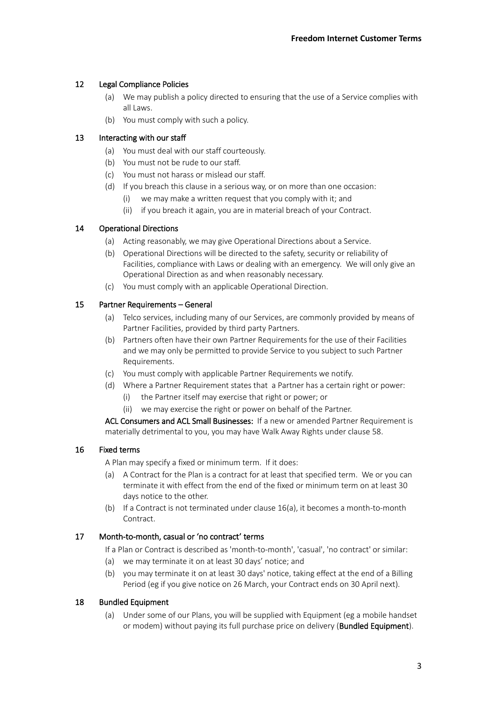# 12 Legal Compliance Policies

- (a) We may publish a policy directed to ensuring that the use of a Service complies with all Laws.
- (b) You must comply with such a policy.

## 13 Interacting with our staff

- (a) You must deal with our staff courteously.
- (b) You must not be rude to our staff.
- (c) You must not harass or mislead our staff.
- (d) If you breach this clause in a serious way, or on more than one occasion:
	- (i) we may make a written request that you comply with it; and
	- (ii) if you breach it again, you are in material breach of your Contract.

## <span id="page-2-3"></span>14 Operational Directions

- (a) Acting reasonably, we may give Operational Directions about a Service.
- (b) Operational Directions will be directed to the safety, security or reliability of Facilities, compliance with Laws or dealing with an emergency. We will only give an Operational Direction as and when reasonably necessary.
- (c) You must comply with an applicable Operational Direction.

## <span id="page-2-4"></span>15 Partner Requirements – General

- (a) Telco services, including many of our Services, are commonly provided by means of Partner Facilities, provided by third party Partners.
- (b) Partners often have their own Partner Requirements for the use of their Facilities and we may only be permitted to provide Service to you subject to such Partner Requirements.
- (c) You must comply with applicable Partner Requirements we notify.
- (d) Where a Partner Requirement states that a Partner has a certain right or power:
	- (i) the Partner itself may exercise that right or power; or
	- (ii) we may exercise the right or power on behalf of the Partner.

ACL Consumers and ACL Small Businesses: If a new or amended Partner Requirement is materially detrimental to you, you may have Walk Away Rights under clause [58.](#page-14-0)

## <span id="page-2-1"></span><span id="page-2-0"></span>16 Fixed terms

A Plan may specify a fixed or minimum term. If it does:

- (a) A Contract for the Plan is a contract for at least that specified term. We or you can terminate it with effect from the end of the fixed or minimum term on at least 30 days notice to the other.
- (b) If a Contract is not terminated under clause [16](#page-2-0)[\(a\),](#page-2-1) it becomes a month-to-month **Contract**

## 17 Month-to-month, casual or 'no contract' terms

If a Plan or Contract is described as 'month-to-month', 'casual', 'no contract' or similar:

- (a) we may terminate it on at least 30 days' notice; and
- (b) you may terminate it on at least 30 days' notice, taking effect at the end of a Billing Period (eg if you give notice on 26 March, your Contract ends on 30 April next).

## <span id="page-2-2"></span>18 Bundled Equipment

(a) Under some of our Plans, you will be supplied with Equipment (eg a mobile handset or modem) without paying its full purchase price on delivery (**Bundled Equipment**).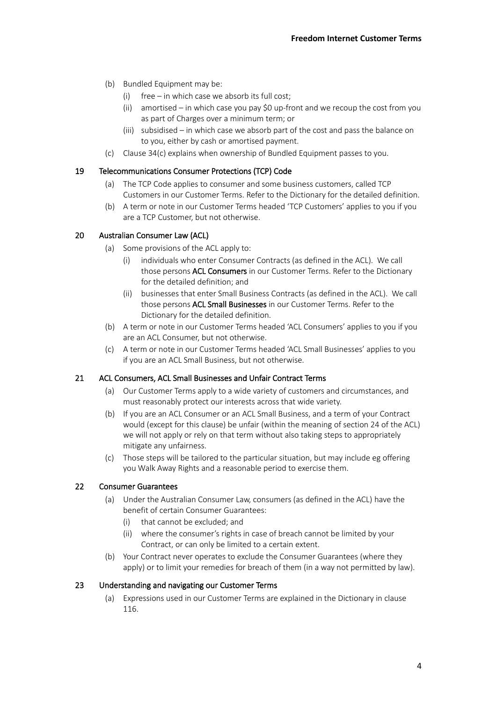- (b) Bundled Equipment may be:
	- (i) free in which case we absorb its full cost;
	- (ii) amortised in which case you pay \$0 up-front and we recoup the cost from you as part of Charges over a minimum term; or
	- (iii) subsidised in which case we absorb part of the cost and pass the balance on to you, either by cash or amortised payment.
- (c) Claus[e 34](#page-6-0)[\(c\)](#page-7-0) explains when ownership of Bundled Equipment passes to you.

## 19 Telecommunications Consumer Protections (TCP) Code

- (a) The TCP Code applies to consumer and some business customers, called TCP Customers in our Customer Terms. Refer to the Dictionary for the detailed definition.
- (b) A term or note in our Customer Terms headed 'TCP Customers' applies to you if you are a TCP Customer, but not otherwise.

# 20 Australian Consumer Law (ACL)

- (a) Some provisions of the ACL apply to:
	- (i) individuals who enter Consumer Contracts (as defined in the ACL). We call those persons ACL Consumers in our Customer Terms. Refer to the Dictionary for the detailed definition; and
	- (ii) businesses that enter Small Business Contracts (as defined in the ACL). We call those persons **ACL Small Businesses** in our Customer Terms. Refer to the Dictionary for the detailed definition.
- (b) A term or note in our Customer Terms headed 'ACL Consumers' applies to you if you are an ACL Consumer, but not otherwise.
- (c) A term or note in our Customer Terms headed 'ACL Small Businesses' applies to you if you are an ACL Small Business, but not otherwise.

## 21 ACL Consumers, ACL Small Businesses and Unfair Contract Terms

- (a) Our Customer Terms apply to a wide variety of customers and circumstances, and must reasonably protect our interests across that wide variety.
- (b) If you are an ACL Consumer or an ACL Small Business, and a term of your Contract would (except for this clause) be unfair (within the meaning of section 24 of the ACL) we will not apply or rely on that term without also taking steps to appropriately mitigate any unfairness.
- (c) Those steps will be tailored to the particular situation, but may include eg offering you Walk Away Rights and a reasonable period to exercise them.

## 22 Consumer Guarantees

- (a) Under the Australian Consumer Law, consumers (as defined in the ACL) have the benefit of certain Consumer Guarantees:
	- (i) that cannot be excluded; and
	- (ii) where the consumer's rights in case of breach cannot be limited by your Contract, or can only be limited to a certain extent.
- (b) Your Contract never operates to exclude the Consumer Guarantees (where they apply) or to limit your remedies for breach of them (in a way not permitted by law).

## 23 Understanding and navigating our Customer Terms

(a) Expressions used in our Customer Terms are explained in the Dictionary in clause [116.](#page-31-0)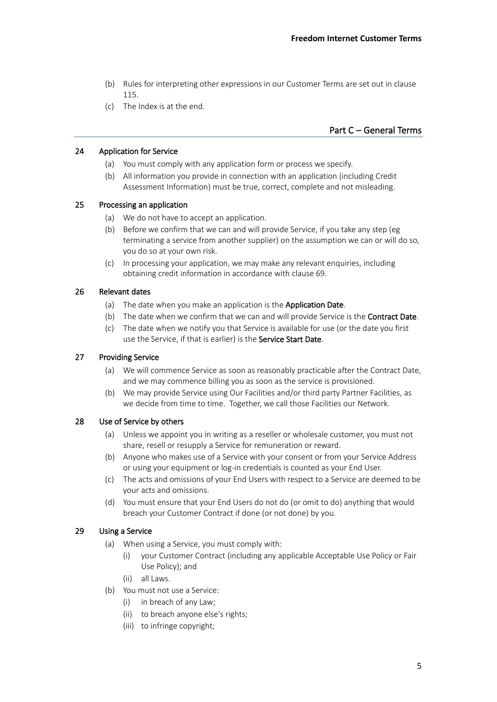- (b) Rules for interpreting other expressions in our Customer Terms are set out in clause [115.](#page-30-0)
- (c) The Index is at the end.

# Part C – General Terms

### <span id="page-4-0"></span>24 Application for Service

- (a) You must comply with any application form or process we specify.
- (b) All information you provide in connection with an application (including Credit Assessment Information) must be true, correct, complete and not misleading.

# 25 Processing an application

- (a) We do not have to accept an application.
- (b) Before we confirm that we can and will provide Service, if you take any step (eg terminating a service from another supplier) on the assumption we can or will do so, you do so at your own risk.
- (c) In processing your application, we may make any relevant enquiries, including obtaining credit information in accordance with claus[e 69.](#page-17-0)

## <span id="page-4-3"></span><span id="page-4-2"></span><span id="page-4-1"></span>26 Relevant dates

- (a) The date when you make an application is the Application Date.
- (b) The date when we confirm that we can and will provide Service is the **Contract Date**.
- (c) The date when we notify you that Service is available for use (or the date you first use the Service, if that is earlier) is the Service Start Date.

#### <span id="page-4-7"></span><span id="page-4-6"></span>27 Providing Service

- (a) We will commence Service as soon as reasonably practicable after the Contract Date, and we may commence billing you as soon as the service is provisioned.
- (b) We may provide Service using Our Facilities and/or third party Partner Facilities, as we decide from time to time. Together, we call those Facilities our Network.

## <span id="page-4-4"></span>28 Use of Service by others

- (a) Unless we appoint you in writing as a reseller or wholesale customer, you must not share, resell or resupply a Service for remuneration or reward.
- <span id="page-4-5"></span>(b) Anyone who makes use of a Service with your consent or from your Service Address or using your equipment or log-in credentials is counted as your End User.
- (c) The acts and omissions of your End Users with respect to a Service are deemed to be your acts and omissions.
- (d) You must ensure that your End Users do not do (or omit to do) anything that would breach your Customer Contract if done (or not done) by you.

#### 29 Using a Service

- (a) When using a Service, you must comply with:
	- (i) your Customer Contract (including any applicable Acceptable Use Policy or Fair Use Policy); and
	- (ii) all Laws.
- (b) You must not use a Service:
	- (i) in breach of any Law;
	- (ii) to breach anyone else's rights;
	- (iii) to infringe copyright;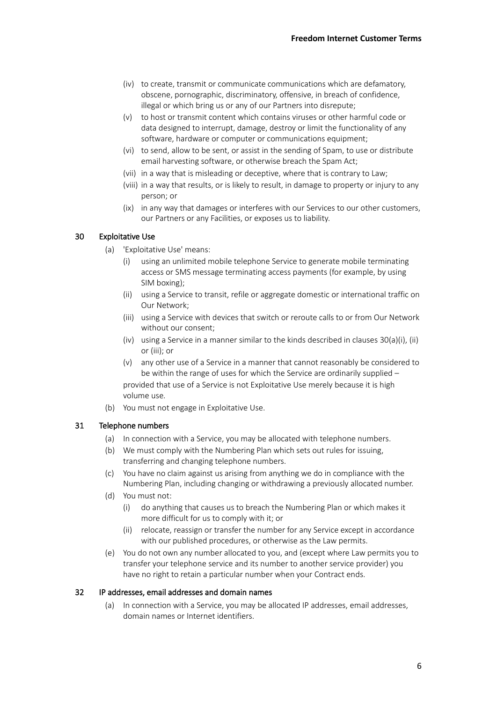- (iv) to create, transmit or communicate communications which are defamatory, obscene, pornographic, discriminatory, offensive, in breach of confidence, illegal or which bring us or any of our Partners into disrepute;
- (v) to host or transmit content which contains viruses or other harmful code or data designed to interrupt, damage, destroy or limit the functionality of any software, hardware or computer or communications equipment;
- (vi) to send, allow to be sent, or assist in the sending of Spam, to use or distribute email harvesting software, or otherwise breach the Spam Act;
- (vii) in a way that is misleading or deceptive, where that is contrary to Law;
- (viii) in a way that results, or is likely to result, in damage to property or injury to any person; or
- (ix) in any way that damages or interferes with our Services to our other customers, our Partners or any Facilities, or exposes us to liability.

## <span id="page-5-2"></span><span id="page-5-1"></span><span id="page-5-0"></span>30 Exploitative Use

- <span id="page-5-4"></span><span id="page-5-3"></span>(a) 'Exploitative Use' means:
	- (i) using an unlimited mobile telephone Service to generate mobile terminating access or SMS message terminating access payments (for example, by using SIM boxing);
	- (ii) using a Service to transit, refile or aggregate domestic or international traffic on Our Network;
	- (iii) using a Service with devices that switch or reroute calls to or from Our Network without our consent;
	- (iv) using a Service in a manner similar to the kinds described in clauses  $30(a)(i)$  $30(a)(i)$  $30(a)(i)$ , [\(ii\)](#page-5-3) o[r \(iii\);](#page-5-4) or
	- (v) any other use of a Service in a manner that cannot reasonably be considered to be within the range of uses for which the Service are ordinarily supplied – provided that use of a Service is not Exploitative Use merely because it is high volume use.
- (b) You must not engage in Exploitative Use.

## 31 Telephone numbers

- (a) In connection with a Service, you may be allocated with telephone numbers.
- (b) We must comply with the Numbering Plan which sets out rules for issuing, transferring and changing telephone numbers.
- (c) You have no claim against us arising from anything we do in compliance with the Numbering Plan, including changing or withdrawing a previously allocated number.
- (d) You must not:
	- (i) do anything that causes us to breach the Numbering Plan or which makes it more difficult for us to comply with it; or
	- (ii) relocate, reassign or transfer the number for any Service except in accordance with our published procedures, or otherwise as the Law permits.
- (e) You do not own any number allocated to you, and (except where Law permits you to transfer your telephone service and its number to another service provider) you have no right to retain a particular number when your Contract ends.

#### 32 IP addresses, email addresses and domain names

(a) In connection with a Service, you may be allocated IP addresses, email addresses, domain names or Internet identifiers.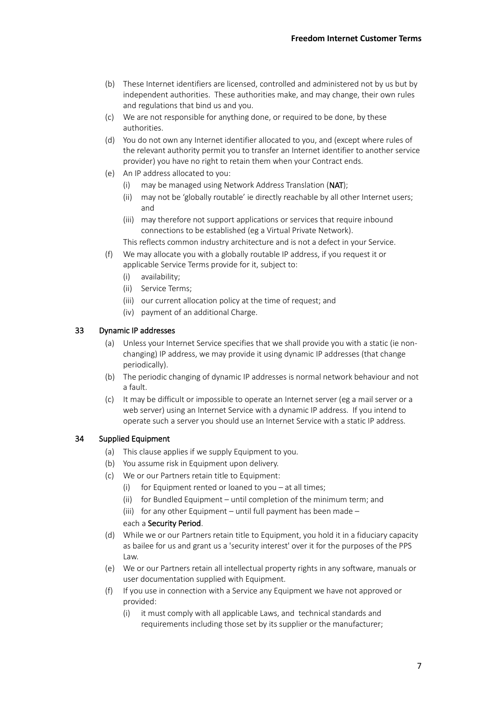- (b) These Internet identifiers are licensed, controlled and administered not by us but by independent authorities. These authorities make, and may change, their own rules and regulations that bind us and you.
- (c) We are not responsible for anything done, or required to be done, by these authorities.
- (d) You do not own any Internet identifier allocated to you, and (except where rules of the relevant authority permit you to transfer an Internet identifier to another service provider) you have no right to retain them when your Contract ends.
- (e) An IP address allocated to you:
	- (i) may be managed using Network Address Translation (NAT);
	- (ii) may not be 'globally routable' ie directly reachable by all other Internet users; and
	- (iii) may therefore not support applications or services that require inbound connections to be established (eg a Virtual Private Network).

This reflects common industry architecture and is not a defect in your Service.

- (f) We may allocate you with a globally routable IP address, if you request it or applicable Service Terms provide for it, subject to:
	- (i) availability;
	- (ii) Service Terms;
	- (iii) our current allocation policy at the time of request; and
	- (iv) payment of an additional Charge.

# 33 Dynamic IP addresses

- (a) Unless your Internet Service specifies that we shall provide you with a static (ie nonchanging) IP address, we may provide it using dynamic IP addresses (that change periodically).
- (b) The periodic changing of dynamic IP addresses is normal network behaviour and not a fault.
- (c) It may be difficult or impossible to operate an Internet server (eg a mail server or a web server) using an Internet Service with a dynamic IP address. If you intend to operate such a server you should use an Internet Service with a static IP address.

## <span id="page-6-0"></span>34 Supplied Equipment

- (a) This clause applies if we supply Equipment to you.
- (b) You assume risk in Equipment upon delivery.
- <span id="page-6-1"></span>(c) We or our Partners retain title to Equipment:
	- (i) for Equipment rented or loaned to you at all times;
	- (ii) for Bundled Equipment until completion of the minimum term; and
	- (iii) for any other Equipment until full payment has been made –

each a Security Period.

- (d) While we or our Partners retain title to Equipment, you hold it in a fiduciary capacity as bailee for us and grant us a 'security interest' over it for the purposes of the PPS Law.
- (e) We or our Partners retain all intellectual property rights in any software, manuals or user documentation supplied with Equipment.
- (f) If you use in connection with a Service any Equipment we have not approved or provided:
	- (i) it must comply with all applicable Laws, and technical standards and requirements including those set by its supplier or the manufacturer;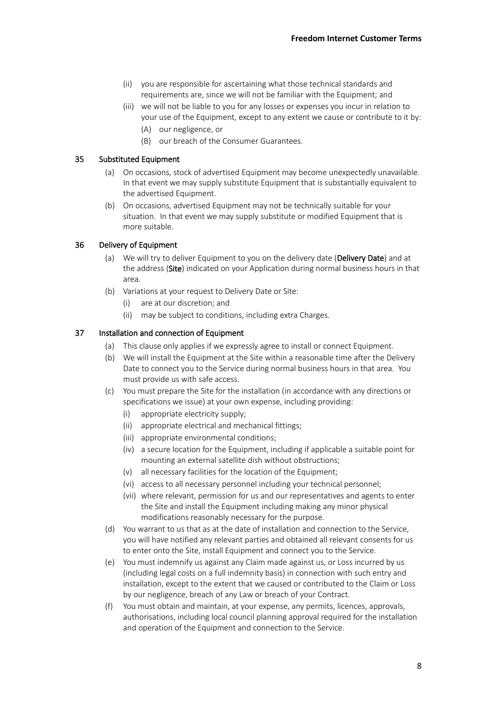- (ii) you are responsible for ascertaining what those technical standards and requirements are, since we will not be familiar with the Equipment; and
- (iii) we will not be liable to you for any losses or expenses you incur in relation to your use of the Equipment, except to any extent we cause or contribute to it by: (A) our negligence, or
	- (B) our breach of the Consumer Guarantees.

## 35 Substituted Equipment

- (a) On occasions, stock of advertised Equipment may become unexpectedly unavailable. In that event we may supply substitute Equipment that is substantially equivalent to the advertised Equipment.
- (b) On occasions, advertised Equipment may not be technically suitable for your situation. In that event we may supply substitute or modified Equipment that is more suitable.

### <span id="page-7-1"></span>36 Delivery of Equipment

- (a) We will try to deliver Equipment to you on the delivery date (Delivery Date) and at the address (Site) indicated on your Application during normal business hours in that area.
- (b) Variations at your request to Delivery Date or Site:
	- (i) are at our discretion; and
	- (ii) may be subject to conditions, including extra Charges.

#### 37 Installation and connection of Equipment

- (a) This clause only applies if we expressly agree to install or connect Equipment.
- (b) We will install the Equipment at the Site within a reasonable time after the Delivery Date to connect you to the Service during normal business hours in that area. You must provide us with safe access.
- <span id="page-7-0"></span>(c) You must prepare the Site for the installation (in accordance with any directions or specifications we issue) at your own expense, including providing:
	- (i) appropriate electricity supply;
	- (ii) appropriate electrical and mechanical fittings;
	- (iii) appropriate environmental conditions;
	- (iv) a secure location for the Equipment, including if applicable a suitable point for mounting an external satellite dish without obstructions;
	- (v) all necessary facilities for the location of the Equipment;
	- (vi) access to all necessary personnel including your technical personnel;
	- (vii) where relevant, permission for us and our representatives and agents to enter the Site and install the Equipment including making any minor physical modifications reasonably necessary for the purpose.
- (d) You warrant to us that as at the date of installation and connection to the Service, you will have notified any relevant parties and obtained all relevant consents for us to enter onto the Site, install Equipment and connect you to the Service.
- (e) You must indemnify us against any Claim made against us, or Loss incurred by us (including legal costs on a full indemnity basis) in connection with such entry and installation, except to the extent that we caused or contributed to the Claim or Loss by our negligence, breach of any Law or breach of your Contract.
- (f) You must obtain and maintain, at your expense, any permits, licences, approvals, authorisations, including local council planning approval required for the installation and operation of the Equipment and connection to the Service.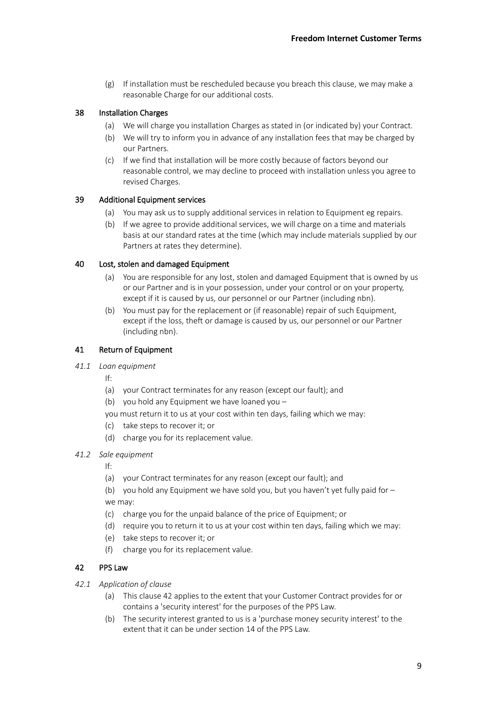$(g)$  If installation must be rescheduled because you breach this clause, we may make a reasonable Charge for our additional costs.

# 38 Installation Charges

- (a) We will charge you installation Charges as stated in (or indicated by) your Contract.
- (b) We will try to inform you in advance of any installation fees that may be charged by our Partners.
- (c) If we find that installation will be more costly because of factors beyond our reasonable control, we may decline to proceed with installation unless you agree to revised Charges.

## 39 Additional Equipment services

- (a) You may ask us to supply additional services in relation to Equipment eg repairs.
- (b) If we agree to provide additional services, we will charge on a time and materials basis at our standard rates at the time (which may include materials supplied by our Partners at rates they determine).

### 40 Lost, stolen and damaged Equipment

- (a) You are responsible for any lost, stolen and damaged Equipment that is owned by us or our Partner and is in your possession, under your control or on your property, except if it is caused by us, our personnel or our Partner (including nbn).
- (b) You must pay for the replacement or (if reasonable) repair of such Equipment, except if the loss, theft or damage is caused by us, our personnel or our Partner (including nbn).

## 41 Return of Equipment

## *41.1 Loan equipment*

If:

- (a) your Contract terminates for any reason (except our fault); and
- (b) you hold any Equipment we have loaned you –
- you must return it to us at your cost within ten days, failing which we may:
- (c) take steps to recover it; or
- (d) charge you for its replacement value.
- *41.2 Sale equipment*

If:

- (a) your Contract terminates for any reason (except our fault); and
- (b) you hold any Equipment we have sold you, but you haven't yet fully paid for we may:
- (c) charge you for the unpaid balance of the price of Equipment; or
- (d) require you to return it to us at your cost within ten days, failing which we may:
- (e) take steps to recover it; or
- (f) charge you for its replacement value.

## <span id="page-8-0"></span>42 PPS Law

- *42.1 Application of clause*
	- (a) This claus[e 42](#page-8-0) applies to the extent that your Customer Contract provides for or contains a 'security interest' for the purposes of the PPS Law.
	- (b) The security interest granted to us is a 'purchase money security interest' to the extent that it can be under section 14 of the PPS Law.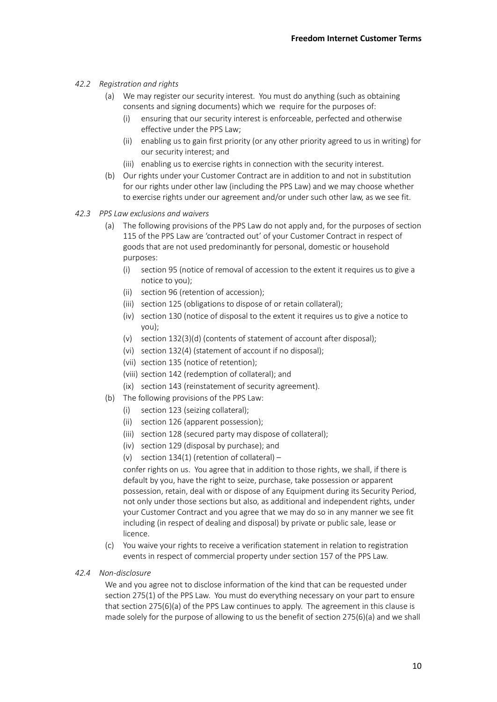# *42.2 Registration and rights*

- (a) We may register our security interest. You must do anything (such as obtaining consents and signing documents) which we require for the purposes of:
	- (i) ensuring that our security interest is enforceable, perfected and otherwise effective under the PPS Law;
	- (ii) enabling us to gain first priority (or any other priority agreed to us in writing) for our security interest; and
	- (iii) enabling us to exercise rights in connection with the security interest.
- (b) Our rights under your Customer Contract are in addition to and not in substitution for our rights under other law (including the PPS Law) and we may choose whether to exercise rights under our agreement and/or under such other law, as we see fit.
- *42.3 PPS Law exclusions and waivers*
	- (a) The following provisions of the PPS Law do not apply and, for the purposes of section 115 of the PPS Law are 'contracted out' of your Customer Contract in respect of goods that are not used predominantly for personal, domestic or household purposes:
		- (i) section 95 (notice of removal of accession to the extent it requires us to give a notice to you);
		- (ii) section 96 (retention of accession);
		- (iii) section 125 (obligations to dispose of or retain collateral);
		- (iv) section 130 (notice of disposal to the extent it requires us to give a notice to you);
		- (v) section 132(3)(d) (contents of statement of account after disposal);
		- (vi) section 132(4) (statement of account if no disposal);
		- (vii) section 135 (notice of retention);
		- (viii) section 142 (redemption of collateral); and
		- (ix) section 143 (reinstatement of security agreement).
	- (b) The following provisions of the PPS Law:
		- (i) section 123 (seizing collateral);
		- (ii) section 126 (apparent possession);
		- (iii) section 128 (secured party may dispose of collateral);
		- (iv) section 129 (disposal by purchase); and
		- (v) section 134(1) (retention of collateral) –

confer rights on us. You agree that in addition to those rights, we shall, if there is default by you, have the right to seize, purchase, take possession or apparent possession, retain, deal with or dispose of any Equipment during its Security Period, not only under those sections but also, as additional and independent rights, under your Customer Contract and you agree that we may do so in any manner we see fit including (in respect of dealing and disposal) by private or public sale, lease or licence.

- (c) You waive your rights to receive a verification statement in relation to registration events in respect of commercial property under section 157 of the PPS Law.
- *42.4 Non-disclosure*

We and you agree not to disclose information of the kind that can be requested under section 275(1) of the PPS Law. You must do everything necessary on your part to ensure that section 275(6)(a) of the PPS Law continues to apply. The agreement in this clause is made solely for the purpose of allowing to us the benefit of section 275(6)(a) and we shall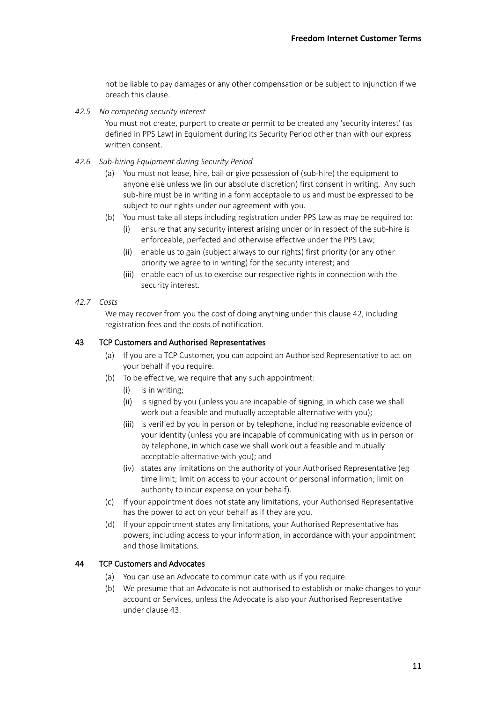not be liable to pay damages or any other compensation or be subject to injunction if we breach this clause.

*42.5 No competing security interest*

You must not create, purport to create or permit to be created any 'security interest' (as defined in PPS Law) in Equipment during its Security Period other than with our express written consent.

- *42.6 Sub-hiring Equipment during Security Period*
	- (a) You must not lease, hire, bail or give possession of (sub-hire) the equipment to anyone else unless we (in our absolute discretion) first consent in writing. Any such sub-hire must be in writing in a form acceptable to us and must be expressed to be subject to our rights under our agreement with you.
	- (b) You must take all steps including registration under PPS Law as may be required to:
		- (i) ensure that any security interest arising under or in respect of the sub-hire is enforceable, perfected and otherwise effective under the PPS Law;
		- (ii) enable us to gain (subject always to our rights) first priority (or any other priority we agree to in writing) for the security interest; and
		- (iii) enable each of us to exercise our respective rights in connection with the security interest.
- *42.7 Costs*

We may recover from you the cost of doing anything under this clause [42,](#page-8-0) including registration fees and the costs of notification.

## <span id="page-10-0"></span>43 TCP Customers and Authorised Representatives

- (a) If you are a TCP Customer, you can appoint an Authorised Representative to act on your behalf if you require.
- (b) To be effective, we require that any such appointment:
	- (i) is in writing;
	- (ii) is signed by you (unless you are incapable of signing, in which case we shall work out a feasible and mutually acceptable alternative with you);
	- (iii) is verified by you in person or by telephone, including reasonable evidence of your identity (unless you are incapable of communicating with us in person or by telephone, in which case we shall work out a feasible and mutually acceptable alternative with you); and
	- (iv) states any limitations on the authority of your Authorised Representative (eg time limit; limit on access to your account or personal information; limit on authority to incur expense on your behalf).
- (c) If your appointment does not state any limitations, your Authorised Representative has the power to act on your behalf as if they are you.
- (d) If your appointment states any limitations, your Authorised Representative has powers, including access to your information, in accordance with your appointment and those limitations.

### 44 TCP Customers and Advocates

- (a) You can use an Advocate to communicate with us if you require.
- (b) We presume that an Advocate is not authorised to establish or make changes to your account or Services, unless the Advocate is also your Authorised Representative under clause [43.](#page-10-0)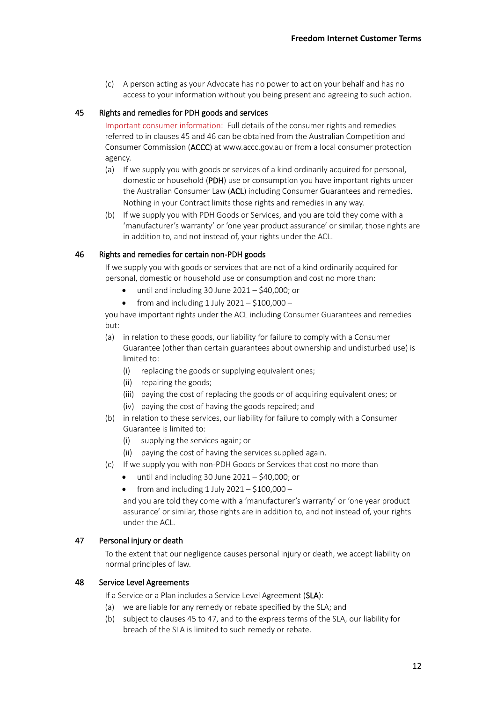(c) A person acting as your Advocate has no power to act on your behalf and has no access to your information without you being present and agreeing to such action.

### <span id="page-11-0"></span>45 Rights and remedies for PDH goods and services

Important consumer information: Full details of the consumer rights and remedies referred to in clauses [45](#page-11-0) and [46](#page-11-1) can be obtained from the Australian Competition and Consumer Commission (ACCC) at www.accc.gov.au or from a local consumer protection agency.

- (a) If we supply you with goods or services of a kind ordinarily acquired for personal, domestic or household (PDH) use or consumption you have important rights under the Australian Consumer Law (ACL) including Consumer Guarantees and remedies. Nothing in your Contract limits those rights and remedies in any way.
- (b) If we supply you with PDH Goods or Services, and you are told they come with a 'manufacturer's warranty' or 'one year product assurance' or similar, those rights are in addition to, and not instead of, your rights under the ACL.

## <span id="page-11-1"></span>46 Rights and remedies for certain non-PDH goods

If we supply you with goods or services that are not of a kind ordinarily acquired for personal, domestic or household use or consumption and cost no more than:

- until and including 30 June  $2021 $40,000$ ; or
- from and including  $1$  July  $2021 $100,000 -$

you have important rights under the ACL including Consumer Guarantees and remedies but:

- (a) in relation to these goods, our liability for failure to comply with a Consumer Guarantee (other than certain guarantees about ownership and undisturbed use) is limited to:
	- (i) replacing the goods or supplying equivalent ones;
	- (ii) repairing the goods;
	- (iii) paying the cost of replacing the goods or of acquiring equivalent ones; or
	- (iv) paying the cost of having the goods repaired; and
- (b) in relation to these services, our liability for failure to comply with a Consumer Guarantee is limited to:
	- (i) supplying the services again; or
	- (ii) paying the cost of having the services supplied again.
- (c) If we supply you with non-PDH Goods or Services that cost no more than
	- until and including 30 June  $2021 $40,000$ ; or
	- from and including  $1$  July 2021 \$100,000 –

and you are told they come with a 'manufacturer's warranty' or 'one year product assurance' or similar, those rights are in addition to, and not instead of, your rights under the ACL.

#### <span id="page-11-2"></span>47 Personal injury or death

To the extent that our negligence causes personal injury or death, we accept liability on normal principles of law.

#### <span id="page-11-3"></span>48 Service Level Agreements

If a Service or a Plan includes a Service Level Agreement (SLA):

- (a) we are liable for any remedy or rebate specified by the SLA; and
- (b) subject to clause[s 45](#page-11-0) t[o 47,](#page-11-2) and to the express terms of the SLA, our liability for breach of the SLA is limited to such remedy or rebate.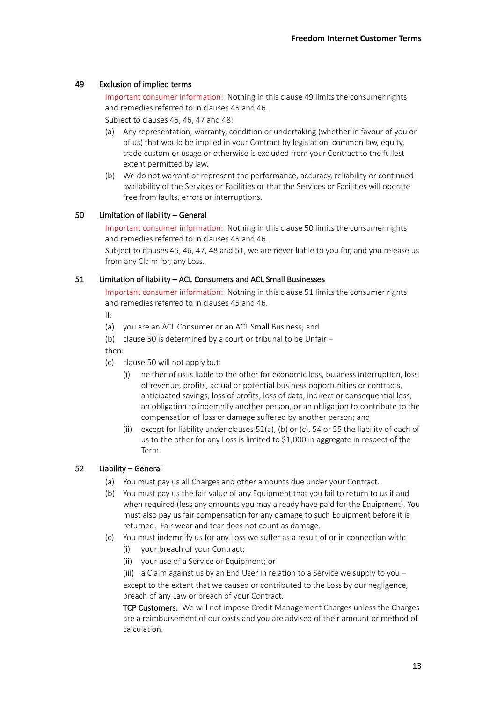# <span id="page-12-0"></span>49 Exclusion of implied terms

Important consumer information: Nothing in this clause [49](#page-12-0) limits the consumer rights and remedies referred to in clause[s 45](#page-11-0) and [46.](#page-11-1)

Subject to clause[s 45,](#page-11-0) [46,](#page-11-1) [47](#page-11-2) and [48:](#page-11-3)

- (a) Any representation, warranty, condition or undertaking (whether in favour of you or of us) that would be implied in your Contract by legislation, common law, equity, trade custom or usage or otherwise is excluded from your Contract to the fullest extent permitted by law.
- (b) We do not warrant or represent the performance, accuracy, reliability or continued availability of the Services or Facilities or that the Services or Facilities will operate free from faults, errors or interruptions.

# <span id="page-12-1"></span>50 Limitation of liability – General

Important consumer information: Nothing in this clause [50](#page-12-1) limits the consumer rights and remedies referred to in clause[s 45](#page-11-0) and [46.](#page-11-1)

Subject to clause[s 45,](#page-11-0) [46,](#page-11-1) [47,](#page-11-2) [48](#page-11-3) an[d 51,](#page-12-2) we are never liable to you for, and you release us from any Claim for, any Loss.

## <span id="page-12-2"></span>51 Limitation of liability – ACL Consumers and ACL Small Businesses

Important consumer information: Nothing in this clause [51](#page-12-2) limits the consumer rights and remedies referred to in clause[s 45](#page-11-0) and [46.](#page-11-1)

If:

- (a) you are an ACL Consumer or an ACL Small Business; and
- (b) claus[e 50](#page-12-1) is determined by a court or tribunal to be Unfair –

then:

- (c) claus[e 50](#page-12-1) will not apply but:
	- (i) neither of us is liable to the other for economic loss, business interruption, loss of revenue, profits, actual or potential business opportunities or contracts, anticipated savings, loss of profits, loss of data, indirect or consequential loss, an obligation to indemnify another person, or an obligation to contribute to the compensation of loss or damage suffered by another person; and
	- (ii) except for liability under clause[s 52](#page-12-3)[\(a\),](#page-12-4) [\(b\)](#page-12-5) or [\(c\),](#page-12-6) [54](#page-13-1) or [55](#page-13-0) the liability of each of us to the other for any Loss is limited to \$1,000 in aggregate in respect of the Term.

## <span id="page-12-5"></span><span id="page-12-4"></span><span id="page-12-3"></span>52 Liability – General

- (a) You must pay us all Charges and other amounts due under your Contract.
- (b) You must pay us the fair value of any Equipment that you fail to return to us if and when required (less any amounts you may already have paid for the Equipment). You must also pay us fair compensation for any damage to such Equipment before it is returned. Fair wear and tear does not count as damage.
- <span id="page-12-6"></span>(c) You must indemnify us for any Loss we suffer as a result of or in connection with:
	- (i) your breach of your Contract;
	- (ii) your use of a Service or Equipment; or

(iii) a Claim against us by an End User in relation to a Service we supply to you  $$ except to the extent that we caused or contributed to the Loss by our negligence, breach of any Law or breach of your Contract.

TCP Customers: We will not impose Credit Management Charges unless the Charges are a reimbursement of our costs and you are advised of their amount or method of calculation.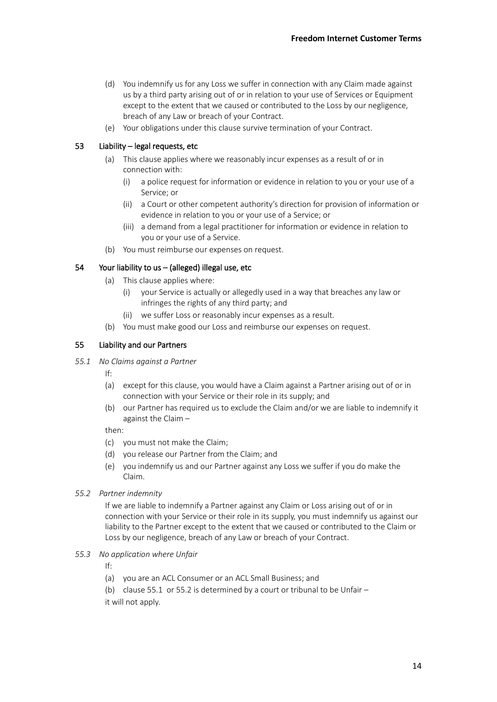- (d) You indemnify us for any Loss we suffer in connection with any Claim made against us by a third party arising out of or in relation to your use of Services or Equipment except to the extent that we caused or contributed to the Loss by our negligence, breach of any Law or breach of your Contract.
- (e) Your obligations under this clause survive termination of your Contract.

## 53 Liability – legal requests, etc

- (a) This clause applies where we reasonably incur expenses as a result of or in connection with:
	- (i) a police request for information or evidence in relation to you or your use of a Service; or
	- (ii) a Court or other competent authority's direction for provision of information or evidence in relation to you or your use of a Service; or
	- (iii) a demand from a legal practitioner for information or evidence in relation to you or your use of a Service.
- (b) You must reimburse our expenses on request.

## <span id="page-13-1"></span>54 Your liability to us – (alleged) illegal use, etc

- (a) This clause applies where:
	- (i) your Service is actually or allegedly used in a way that breaches any law or infringes the rights of any third party; and
	- (ii) we suffer Loss or reasonably incur expenses as a result.
- (b) You must make good our Loss and reimburse our expenses on request.

## <span id="page-13-0"></span>55 Liability and our Partners

<span id="page-13-2"></span>*55.1 No Claims against a Partner*

If:

- (a) except for this clause, you would have a Claim against a Partner arising out of or in connection with your Service or their role in its supply; and
- (b) our Partner has required us to exclude the Claim and/or we are liable to indemnify it against the Claim –

then:

- (c) you must not make the Claim;
- (d) you release our Partner from the Claim; and
- (e) you indemnify us and our Partner against any Loss we suffer if you do make the Claim.
- <span id="page-13-3"></span>*55.2 Partner indemnity*

If we are liable to indemnify a Partner against any Claim or Loss arising out of or in connection with your Service or their role in its supply, you must indemnify us against our liability to the Partner except to the extent that we caused or contributed to the Claim or Loss by our negligence, breach of any Law or breach of your Contract.

## *55.3 No application where Unfair*

If:

(a) you are an ACL Consumer or an ACL Small Business; and

(b) claus[e 55.1](#page-13-2) or [55.2](#page-13-3) is determined by a court or tribunal to be Unfair – it will not apply.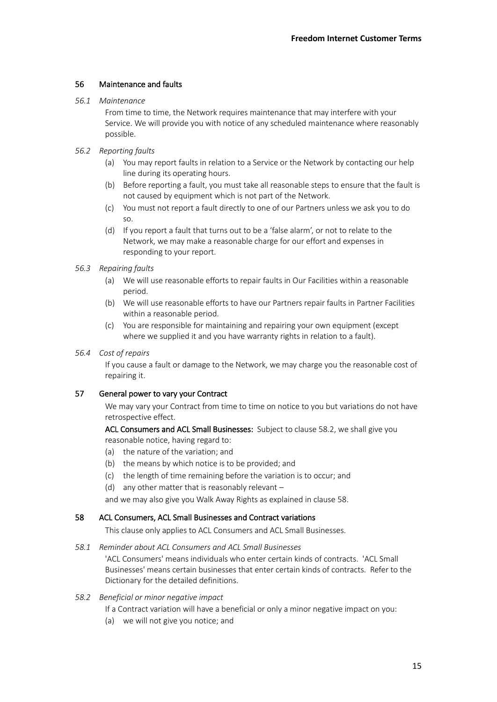# 56 Maintenance and faults

### *56.1 Maintenance*

From time to time, the Network requires maintenance that may interfere with your Service. We will provide you with notice of any scheduled maintenance where reasonably possible.

## *56.2 Reporting faults*

- (a) You may report faults in relation to a Service or the Network by contacting our help line during its operating hours.
- (b) Before reporting a fault, you must take all reasonable steps to ensure that the fault is not caused by equipment which is not part of the Network.
- (c) You must not report a fault directly to one of our Partners unless we ask you to do so.
- (d) If you report a fault that turns out to be a 'false alarm', or not to relate to the Network, we may make a reasonable charge for our effort and expenses in responding to your report.

### *56.3 Repairing faults*

- (a) We will use reasonable efforts to repair faults in Our Facilities within a reasonable period.
- (b) We will use reasonable efforts to have our Partners repair faults in Partner Facilities within a reasonable period.
- (c) You are responsible for maintaining and repairing your own equipment (except where we supplied it and you have warranty rights in relation to a fault).

## *56.4 Cost of repairs*

If you cause a fault or damage to the Network, we may charge you the reasonable cost of repairing it.

## <span id="page-14-2"></span>57 General power to vary your Contract

We may vary your Contract from time to time on notice to you but variations do not have retrospective effect.

ACL Consumers and ACL Small Businesses: Subject to clause [58.2,](#page-14-1) we shall give you reasonable notice, having regard to:

- (a) the nature of the variation; and
- (b) the means by which notice is to be provided; and
- (c) the length of time remaining before the variation is to occur; and
- (d) any other matter that is reasonably relevant –

and we may also give you Walk Away Rights as explained in claus[e 58.](#page-14-0)

## <span id="page-14-0"></span>58 ACL Consumers, ACL Small Businesses and Contract variations

This clause only applies to ACL Consumers and ACL Small Businesses.

## *58.1 Reminder about ACL Consumers and ACL Small Businesses*

'ACL Consumers' means individuals who enter certain kinds of contracts. 'ACL Small Businesses' means certain businesses that enter certain kinds of contracts. Refer to the Dictionary for the detailed definitions.

## <span id="page-14-1"></span>*58.2 Beneficial or minor negative impact*

If a Contract variation will have a beneficial or only a minor negative impact on you:

(a) we will not give you notice; and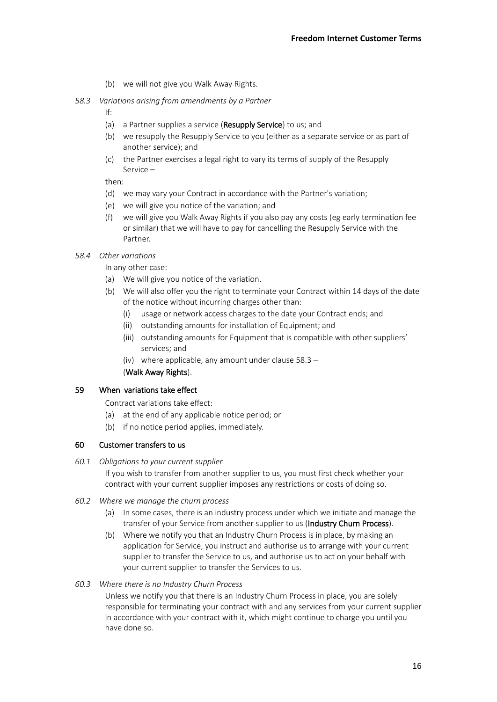- (b) we will not give you Walk Away Rights.
- <span id="page-15-0"></span>*58.3 Variations arising from amendments by a Partner*

If:

- (a) a Partner supplies a service (Resupply Service) to us; and
- (b) we resupply the Resupply Service to you (either as a separate service or as part of another service); and
- (c) the Partner exercises a legal right to vary its terms of supply of the Resupply Service –

then:

- (d) we may vary your Contract in accordance with the Partner's variation;
- (e) we will give you notice of the variation; and
- (f) we will give you Walk Away Rights if you also pay any costs (eg early termination fee or similar) that we will have to pay for cancelling the Resupply Service with the Partner.

### *58.4 Other variations*

In any other case:

- (a) We will give you notice of the variation.
- (b) We will also offer you the right to terminate your Contract within 14 days of the date of the notice without incurring charges other than:
	- (i) usage or network access charges to the date your Contract ends; and
	- (ii) outstanding amounts for installation of Equipment; and
	- (iii) outstanding amounts for Equipment that is compatible with other suppliers' services; and
	- (iv) where applicable, any amount under clause [58.3](#page-15-0) –

(Walk Away Rights).

## <span id="page-15-1"></span>59 When variations take effect

Contract variations take effect:

- (a) at the end of any applicable notice period; or
- (b) if no notice period applies, immediately.

## 60 Customer transfers to us

*60.1 Obligations to your current supplier*

If you wish to transfer from another supplier to us, you must first check whether your contract with your current supplier imposes any restrictions or costs of doing so.

- *60.2 Where we manage the churn process*
	- (a) In some cases, there is an industry process under which we initiate and manage the transfer of your Service from another supplier to us (Industry Churn Process).
	- (b) Where we notify you that an Industry Churn Process is in place, by making an application for Service, you instruct and authorise us to arrange with your current supplier to transfer the Service to us, and authorise us to act on your behalf with your current supplier to transfer the Services to us.
- *60.3 Where there is no Industry Churn Process*

Unless we notify you that there is an Industry Churn Process in place, you are solely responsible for terminating your contract with and any services from your current supplier in accordance with your contract with it, which might continue to charge you until you have done so.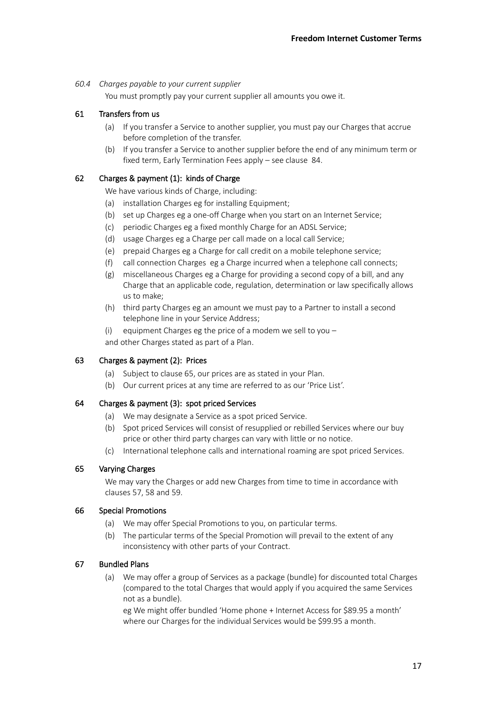## *60.4 Charges payable to your current supplier*

You must promptly pay your current supplier all amounts you owe it.

# 61 Transfers from us

- (a) If you transfer a Service to another supplier, you must pay our Charges that accrue before completion of the transfer.
- (b) If you transfer a Service to another supplier before the end of any minimum term or fixed term, Early Termination Fees apply – see clause [84.](#page-22-0)

# 62 Charges & payment (1): kinds of Charge

We have various kinds of Charge, including:

- (a) installation Charges eg for installing Equipment;
- (b) set up Charges eg a one-off Charge when you start on an Internet Service;
- (c) periodic Charges eg a fixed monthly Charge for an ADSL Service;
- (d) usage Charges eg a Charge per call made on a local call Service;
- (e) prepaid Charges eg a Charge for call credit on a mobile telephone service;
- (f) call connection Charges eg a Charge incurred when a telephone call connects;
- (g) miscellaneous Charges eg a Charge for providing a second copy of a bill, and any Charge that an applicable code, regulation, determination or law specifically allows us to make;
- (h) third party Charges eg an amount we must pay to a Partner to install a second telephone line in your Service Address;
- (i) equipment Charges eg the price of a modem we sell to you  $$ and other Charges stated as part of a Plan.

# <span id="page-16-1"></span>63 Charges & payment (2): Prices

- (a) Subject to clause [65,](#page-16-0) our prices are as stated in your Plan.
- (b) Our current prices at any time are referred to as our 'Price List'.

## 64 Charges & payment (3): spot priced Services

- (a) We may designate a Service as a spot priced Service.
- (b) Spot priced Services will consist of resupplied or rebilled Services where our buy price or other third party charges can vary with little or no notice.
- (c) International telephone calls and international roaming are spot priced Services.

# <span id="page-16-0"></span>65 Varying Charges

We may vary the Charges or add new Charges from time to time in accordance with clauses [57,](#page-14-2) [58](#page-14-0) an[d 59.](#page-15-1)

## 66 Special Promotions

- (a) We may offer Special Promotions to you, on particular terms.
- (b) The particular terms of the Special Promotion will prevail to the extent of any inconsistency with other parts of your Contract.

## 67 Bundled Plans

(a) We may offer a group of Services as a package (bundle) for discounted total Charges (compared to the total Charges that would apply if you acquired the same Services not as a bundle).

eg We might offer bundled 'Home phone + Internet Access for \$89.95 a month' where our Charges for the individual Services would be \$99.95 a month.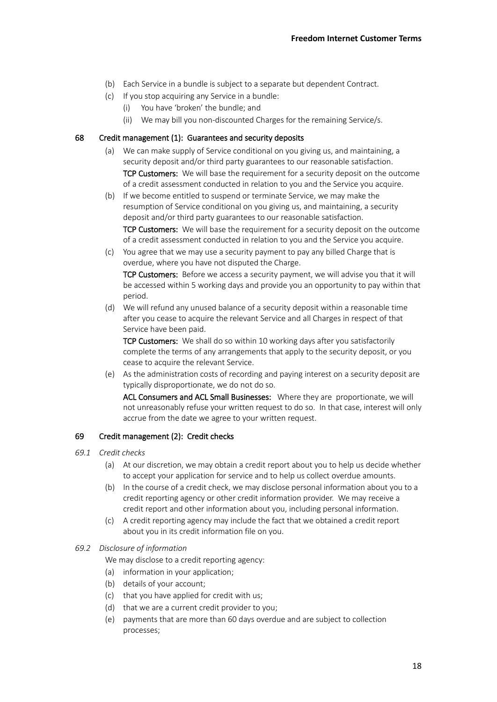- (b) Each Service in a bundle is subject to a separate but dependent Contract.
- (c) If you stop acquiring any Service in a bundle:
	- (i) You have 'broken' the bundle; and
	- (ii) We may bill you non-discounted Charges for the remaining Service/s.

### 68 Credit management (1): Guarantees and security deposits

- (a) We can make supply of Service conditional on you giving us, and maintaining, a security deposit and/or third party guarantees to our reasonable satisfaction. TCP Customers: We will base the requirement for a security deposit on the outcome of a credit assessment conducted in relation to you and the Service you acquire.
- (b) If we become entitled to suspend or terminate Service, we may make the resumption of Service conditional on you giving us, and maintaining, a security deposit and/or third party guarantees to our reasonable satisfaction. TCP Customers: We will base the requirement for a security deposit on the outcome of a credit assessment conducted in relation to you and the Service you acquire.
- (c) You agree that we may use a security payment to pay any billed Charge that is overdue, where you have not disputed the Charge.

TCP Customers: Before we access a security payment, we will advise you that it will be accessed within 5 working days and provide you an opportunity to pay within that period.

(d) We will refund any unused balance of a security deposit within a reasonable time after you cease to acquire the relevant Service and all Charges in respect of that Service have been paid.

TCP Customers: We shall do so within 10 working days after you satisfactorily complete the terms of any arrangements that apply to the security deposit, or you cease to acquire the relevant Service.

(e) As the administration costs of recording and paying interest on a security deposit are typically disproportionate, we do not do so.

ACL Consumers and ACL Small Businesses: Where they are proportionate, we will not unreasonably refuse your written request to do so. In that case, interest will only accrue from the date we agree to your written request.

## <span id="page-17-0"></span>69 Credit management (2): Credit checks

- *69.1 Credit checks*
	- (a) At our discretion, we may obtain a credit report about you to help us decide whether to accept your application for service and to help us collect overdue amounts.
	- (b) In the course of a credit check, we may disclose personal information about you to a credit reporting agency or other credit information provider. We may receive a credit report and other information about you, including personal information.
	- (c) A credit reporting agency may include the fact that we obtained a credit report about you in its credit information file on you.

#### *69.2 Disclosure of information*

We may disclose to a credit reporting agency:

- (a) information in your application;
- (b) details of your account;
- (c) that you have applied for credit with us;
- (d) that we are a current credit provider to you;
- (e) payments that are more than 60 days overdue and are subject to collection processes;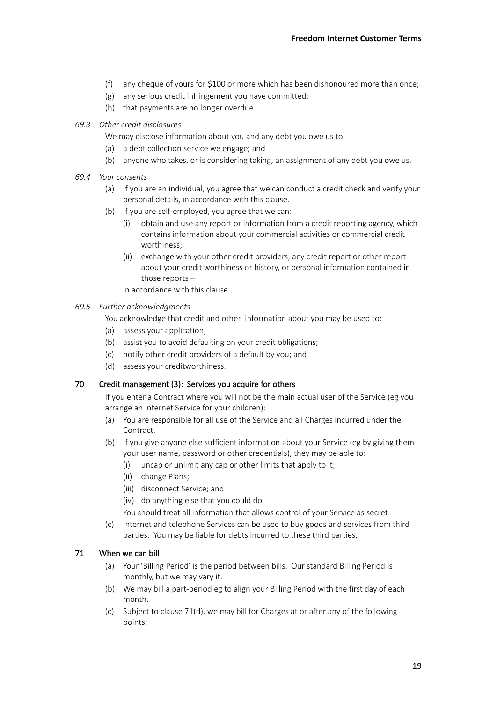- (f) any cheque of yours for \$100 or more which has been dishonoured more than once;
- (g) any serious credit infringement you have committed;
- (h) that payments are no longer overdue.
- *69.3 Other credit disclosures*

We may disclose information about you and any debt you owe us to:

- (a) a debt collection service we engage; and
- (b) anyone who takes, or is considering taking, an assignment of any debt you owe us.
- *69.4 Your consents*
	- (a) If you are an individual, you agree that we can conduct a credit check and verify your personal details, in accordance with this clause.
	- (b) If you are self-employed, you agree that we can:
		- (i) obtain and use any report or information from a credit reporting agency, which contains information about your commercial activities or commercial credit worthiness;
		- (ii) exchange with your other credit providers, any credit report or other report about your credit worthiness or history, or personal information contained in those reports –

in accordance with this clause.

- *69.5 Further acknowledgments*
	- You acknowledge that credit and other information about you may be used to:
	- (a) assess your application;
	- (b) assist you to avoid defaulting on your credit obligations;
	- (c) notify other credit providers of a default by you; and
	- (d) assess your creditworthiness.

## 70 Credit management (3): Services you acquire for others

If you enter a Contract where you will not be the main actual user of the Service (eg you arrange an Internet Service for your children):

- (a) You are responsible for all use of the Service and all Charges incurred under the Contract.
- (b) If you give anyone else sufficient information about your Service (eg by giving them your user name, password or other credentials), they may be able to:
	- (i) uncap or unlimit any cap or other limits that apply to it;
	- (ii) change Plans;
	- (iii) disconnect Service; and
	- (iv) do anything else that you could do.
	- You should treat all information that allows control of your Service as secret.
- (c) Internet and telephone Services can be used to buy goods and services from third parties. You may be liable for debts incurred to these third parties.

## <span id="page-18-1"></span><span id="page-18-0"></span>71 When we can bill

- (a) Your 'Billing Period' is the period between bills. Our standard Billing Period is monthly, but we may vary it.
- (b) We may bill a part-period eg to align your Billing Period with the first day of each month.
- (c) Subject to clause [71](#page-18-0)[\(d\),](#page-19-0) we may bill for Charges at or after any of the following points: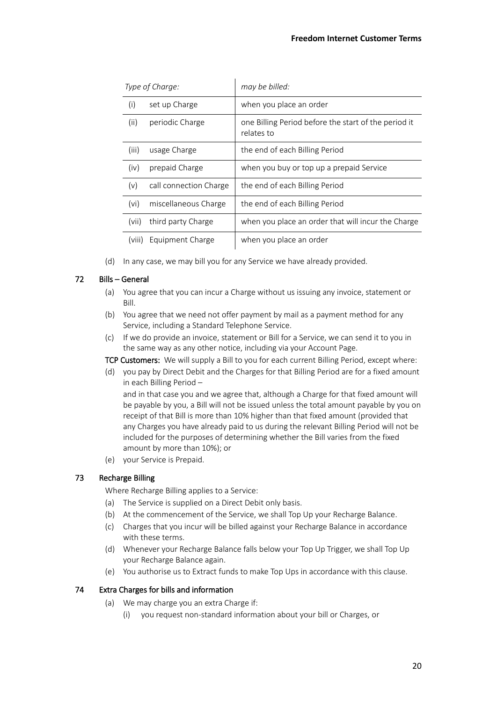| Type of Charge:   |                        | may be billed:                                                     |
|-------------------|------------------------|--------------------------------------------------------------------|
| (i)               | set up Charge          | when you place an order                                            |
| (ii)              | periodic Charge        | one Billing Period before the start of the period it<br>relates to |
| (iii)             | usage Charge           | the end of each Billing Period                                     |
| (iv)              | prepaid Charge         | when you buy or top up a prepaid Service                           |
| (v)               | call connection Charge | the end of each Billing Period                                     |
| (v <sub>i</sub> ) | miscellaneous Charge   | the end of each Billing Period                                     |
| (vii)             | third party Charge     | when you place an order that will incur the Charge                 |
| (VIII)            | Equipment Charge       | when you place an order                                            |

(d) In any case, we may bill you for any Service we have already provided.

# <span id="page-19-0"></span>72 Bills – General

- (a) You agree that you can incur a Charge without us issuing any invoice, statement or Bill.
- (b) You agree that we need not offer payment by mail as a payment method for any Service, including a Standard Telephone Service.
- (c) If we do provide an invoice, statement or Bill for a Service, we can send it to you in the same way as any other notice, including via your Account Page.

TCP Customers: We will supply a Bill to you for each current Billing Period, except where:

(d) you pay by Direct Debit and the Charges for that Billing Period are for a fixed amount in each Billing Period –

and in that case you and we agree that, although a Charge for that fixed amount will be payable by you, a Bill will not be issued unless the total amount payable by you on receipt of that Bill is more than 10% higher than that fixed amount (provided that any Charges you have already paid to us during the relevant Billing Period will not be included for the purposes of determining whether the Bill varies from the fixed amount by more than 10%); or

(e) your Service is Prepaid.

## <span id="page-19-1"></span>73 Recharge Billing

Where Recharge Billing applies to a Service:

- (a) The Service is supplied on a Direct Debit only basis.
- (b) At the commencement of the Service, we shall Top Up your Recharge Balance.
- (c) Charges that you incur will be billed against your Recharge Balance in accordance with these terms.
- (d) Whenever your Recharge Balance falls below your Top Up Trigger, we shall Top Up your Recharge Balance again.
- (e) You authorise us to Extract funds to make Top Ups in accordance with this clause.

# 74 Extra Charges for bills and information

- (a) We may charge you an extra Charge if:
	- (i) you request non-standard information about your bill or Charges, or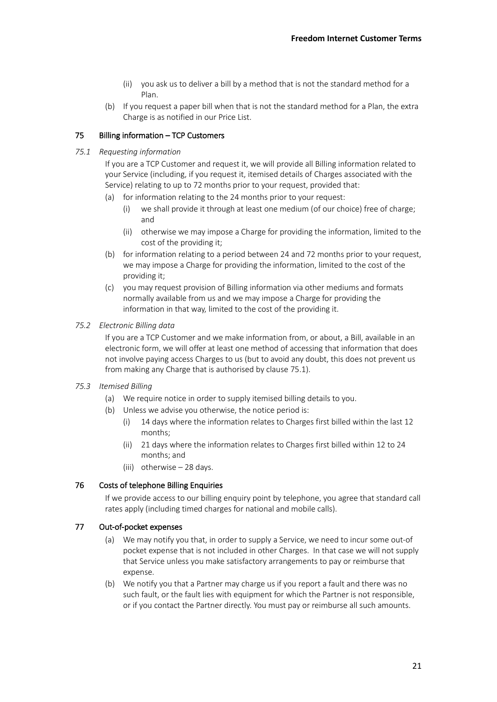- (ii) you ask us to deliver a bill by a method that is not the standard method for a Plan.
- (b) If you request a paper bill when that is not the standard method for a Plan, the extra Charge is as notified in our Price List.

## 75 Billing information – TCP Customers

### <span id="page-20-0"></span>*75.1 Requesting information*

If you are a TCP Customer and request it, we will provide all Billing information related to your Service (including, if you request it, itemised details of Charges associated with the Service) relating to up to 72 months prior to your request, provided that:

- (a) for information relating to the 24 months prior to your request:
	- (i) we shall provide it through at least one medium (of our choice) free of charge; and
	- (ii) otherwise we may impose a Charge for providing the information, limited to the cost of the providing it;
- (b) for information relating to a period between 24 and 72 months prior to your request, we may impose a Charge for providing the information, limited to the cost of the providing it;
- (c) you may request provision of Billing information via other mediums and formats normally available from us and we may impose a Charge for providing the information in that way, limited to the cost of the providing it.

### *75.2 Electronic Billing data*

If you are a TCP Customer and we make information from, or about, a Bill, available in an electronic form, we will offer at least one method of accessing that information that does not involve paying access Charges to us (but to avoid any doubt, this does not prevent us from making any Charge that is authorised by clause [75.1\)](#page-20-0).

## *75.3 Itemised Billing*

- (a) We require notice in order to supply itemised billing details to you.
- (b) Unless we advise you otherwise, the notice period is:
	- (i) 14 days where the information relates to Charges first billed within the last 12 months;
	- (ii) 21 days where the information relates to Charges first billed within 12 to 24 months; and
	- (iii) otherwise 28 days.

## 76 Costs of telephone Billing Enquiries

If we provide access to our billing enquiry point by telephone, you agree that standard call rates apply (including timed charges for national and mobile calls).

## 77 Out-of-pocket expenses

- (a) We may notify you that, in order to supply a Service, we need to incur some out-of pocket expense that is not included in other Charges. In that case we will not supply that Service unless you make satisfactory arrangements to pay or reimburse that expense.
- (b) We notify you that a Partner may charge us if you report a fault and there was no such fault, or the fault lies with equipment for which the Partner is not responsible, or if you contact the Partner directly. You must pay or reimburse all such amounts.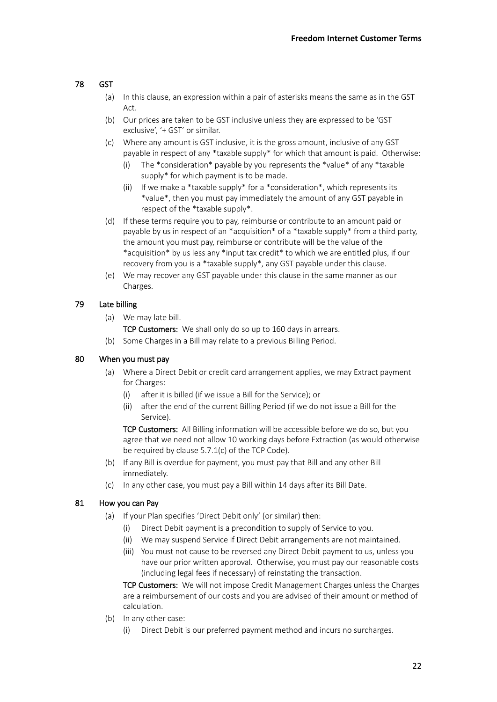# 78 GST

- (a) In this clause, an expression within a pair of asterisks means the same as in the GST Act.
- (b) Our prices are taken to be GST inclusive unless they are expressed to be 'GST exclusive', '+ GST' or similar.
- (c) Where any amount is GST inclusive, it is the gross amount, inclusive of any GST payable in respect of any \*taxable supply\* for which that amount is paid. Otherwise:
	- (i) The \*consideration\* payable by you represents the \*value\* of any \*taxable supply\* for which payment is to be made.
	- (ii) If we make a \*taxable supply\* for a \*consideration\*, which represents its \*value\*, then you must pay immediately the amount of any GST payable in respect of the \*taxable supply\*.
- (d) If these terms require you to pay, reimburse or contribute to an amount paid or payable by us in respect of an \*acquisition\* of a \*taxable supply\* from a third party, the amount you must pay, reimburse or contribute will be the value of the \*acquisition\* by us less any \*input tax credit\* to which we are entitled plus, if our recovery from you is a \*taxable supply\*, any GST payable under this clause.
- (e) We may recover any GST payable under this clause in the same manner as our Charges.

# 79 Late billing

(a) We may late bill.

TCP Customers: We shall only do so up to 160 days in arrears.

(b) Some Charges in a Bill may relate to a previous Billing Period.

## 80 When you must pay

- (a) Where a Direct Debit or credit card arrangement applies, we may Extract payment for Charges:
	- (i) after it is billed (if we issue a Bill for the Service); or
	- (ii) after the end of the current Billing Period (if we do not issue a Bill for the Service).

TCP Customers: All Billing information will be accessible before we do so, but you agree that we need not allow 10 working days before Extraction (as would otherwise be required by clause 5.7.1(c) of the TCP Code).

- (b) If any Bill is overdue for payment, you must pay that Bill and any other Bill immediately.
- (c) In any other case, you must pay a Bill within 14 days after its Bill Date.

## 81 How you can Pay

- (a) If your Plan specifies 'Direct Debit only' (or similar) then:
	- (i) Direct Debit payment is a precondition to supply of Service to you.
	- (ii) We may suspend Service if Direct Debit arrangements are not maintained.
	- (iii) You must not cause to be reversed any Direct Debit payment to us, unless you have our prior written approval. Otherwise, you must pay our reasonable costs (including legal fees if necessary) of reinstating the transaction.

TCP Customers: We will not impose Credit Management Charges unless the Charges are a reimbursement of our costs and you are advised of their amount or method of calculation.

- (b) In any other case:
	- (i) Direct Debit is our preferred payment method and incurs no surcharges.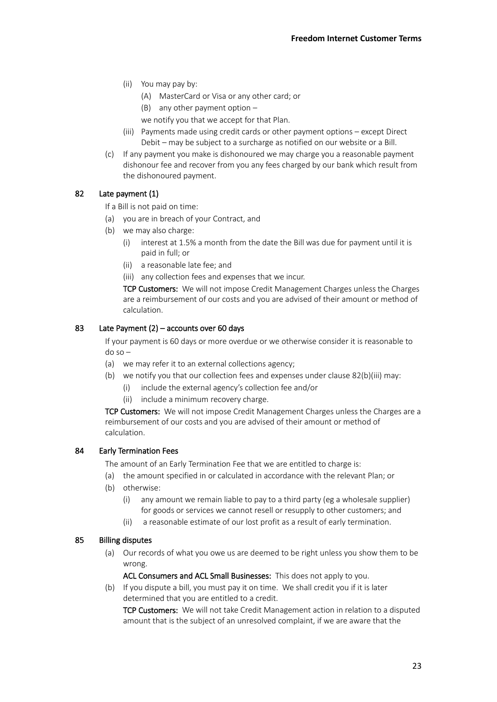- (ii) You may pay by:
	- (A) MasterCard or Visa or any other card; or
	- (B) any other payment option  $-$

we notify you that we accept for that Plan.

- (iii) Payments made using credit cards or other payment options except Direct Debit – may be subject to a surcharge as notified on our website or a Bill.
- (c) If any payment you make is dishonoured we may charge you a reasonable payment dishonour fee and recover from you any fees charged by our bank which result from the dishonoured payment.

# <span id="page-22-1"></span>82 Late payment (1)

If a Bill is not paid on time:

- (a) you are in breach of your Contract, and
- <span id="page-22-2"></span>(b) we may also charge:
	- (i) interest at 1.5% a month from the date the Bill was due for payment until it is paid in full; or
	- (ii) a reasonable late fee; and

<span id="page-22-3"></span>(iii) any collection fees and expenses that we incur.

TCP Customers: We will not impose Credit Management Charges unless the Charges are a reimbursement of our costs and you are advised of their amount or method of calculation.

# 83 Late Payment (2) – accounts over 60 days

If your payment is 60 days or more overdue or we otherwise consider it is reasonable to do so –

- (a) we may refer it to an external collections agency;
- (b) we notify you that our collection fees and expenses under clause [82](#page-22-1)[\(b\)](#page-22-2)[\(iii\)](#page-22-3) may:
	- (i) include the external agency's collection fee and/or
	- (ii) include a minimum recovery charge.

TCP Customers: We will not impose Credit Management Charges unless the Charges are a reimbursement of our costs and you are advised of their amount or method of calculation.

## <span id="page-22-0"></span>84 Early Termination Fees

The amount of an Early Termination Fee that we are entitled to charge is:

- (a) the amount specified in or calculated in accordance with the relevant Plan; or
- (b) otherwise:
	- (i) any amount we remain liable to pay to a third party (eg a wholesale supplier) for goods or services we cannot resell or resupply to other customers; and
	- (ii) a reasonable estimate of our lost profit as a result of early termination.

# 85 Billing disputes

(a) Our records of what you owe us are deemed to be right unless you show them to be wrong.

ACL Consumers and ACL Small Businesses: This does not apply to you.

(b) If you dispute a bill, you must pay it on time. We shall credit you if it is later determined that you are entitled to a credit.

TCP Customers: We will not take Credit Management action in relation to a disputed amount that is the subject of an unresolved complaint, if we are aware that the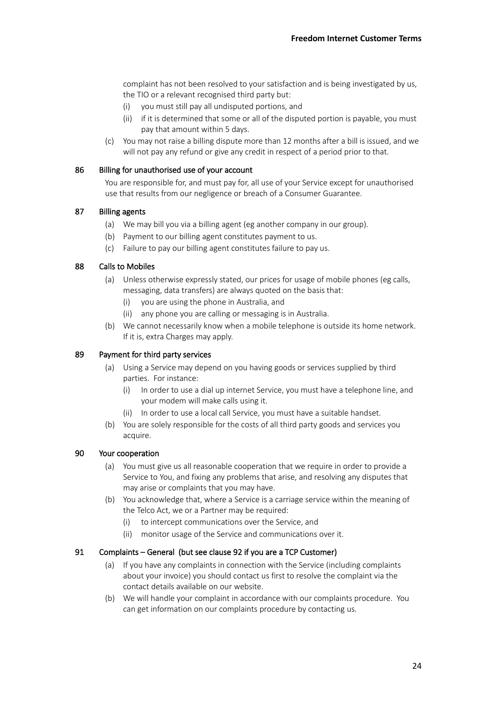complaint has not been resolved to your satisfaction and is being investigated by us, the TIO or a relevant recognised third party but:

- (i) you must still pay all undisputed portions, and
- (ii) if it is determined that some or all of the disputed portion is payable, you must pay that amount within 5 days.
- (c) You may not raise a billing dispute more than 12 months after a bill is issued, and we will not pay any refund or give any credit in respect of a period prior to that.

#### 86 Billing for unauthorised use of your account

You are responsible for, and must pay for, all use of your Service except for unauthorised use that results from our negligence or breach of a Consumer Guarantee.

### 87 Billing agents

- (a) We may bill you via a billing agent (eg another company in our group).
- (b) Payment to our billing agent constitutes payment to us.
- (c) Failure to pay our billing agent constitutes failure to pay us.

# 88 Calls to Mobiles

- (a) Unless otherwise expressly stated, our prices for usage of mobile phones (eg calls, messaging, data transfers) are always quoted on the basis that:
	- (i) you are using the phone in Australia, and
	- (ii) any phone you are calling or messaging is in Australia.
- (b) We cannot necessarily know when a mobile telephone is outside its home network. If it is, extra Charges may apply.

### 89 Payment for third party services

- (a) Using a Service may depend on you having goods or services supplied by third parties. For instance:
	- (i) In order to use a dial up internet Service, you must have a telephone line, and your modem will make calls using it.
	- (ii) In order to use a local call Service, you must have a suitable handset.
- (b) You are solely responsible for the costs of all third party goods and services you acquire.

#### 90 Your cooperation

- (a) You must give us all reasonable cooperation that we require in order to provide a Service to You, and fixing any problems that arise, and resolving any disputes that may arise or complaints that you may have.
- (b) You acknowledge that, where a Service is a carriage service within the meaning of the Telco Act, we or a Partner may be required:
	- (i) to intercept communications over the Service, and
	- (ii) monitor usage of the Service and communications over it.

## 91 Complaints – General (but see claus[e 92](#page-24-0) if you are a TCP Customer)

- (a) If you have any complaints in connection with the Service (including complaints about your invoice) you should contact us first to resolve the complaint via the contact details available on our website.
- (b) We will handle your complaint in accordance with our complaints procedure. You can get information on our complaints procedure by contacting us.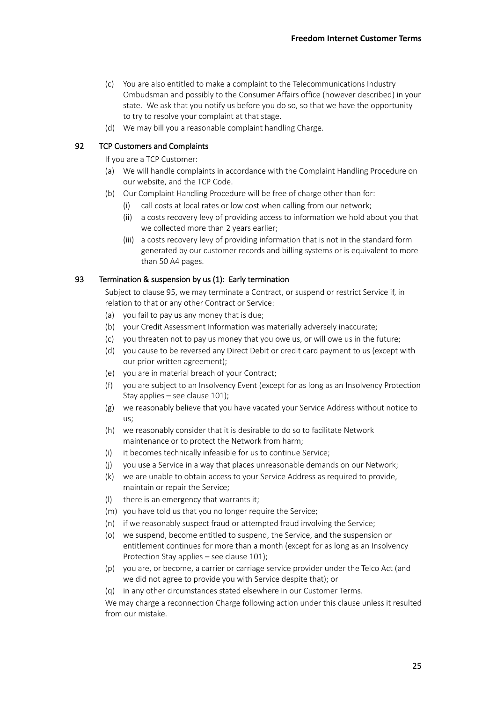- (c) You are also entitled to make a complaint to the Telecommunications Industry Ombudsman and possibly to the Consumer Affairs office (however described) in your state. We ask that you notify us before you do so, so that we have the opportunity to try to resolve your complaint at that stage.
- (d) We may bill you a reasonable complaint handling Charge.

## <span id="page-24-0"></span>92 TCP Customers and Complaints

If you are a TCP Customer:

- (a) We will handle complaints in accordance with the Complaint Handling Procedure on our website, and the TCP Code.
- (b) Our Complaint Handling Procedure will be free of charge other than for:
	- (i) call costs at local rates or low cost when calling from our network;
	- (ii) a costs recovery levy of providing access to information we hold about you that we collected more than 2 years earlier;
	- (iii) a costs recovery levy of providing information that is not in the standard form generated by our customer records and billing systems or is equivalent to more than 50 A4 pages.

## 93 Termination & suspension by us (1): Early termination

Subject to claus[e 95,](#page-25-0) we may terminate a Contract, or suspend or restrict Service if, in relation to that or any other Contract or Service:

- (a) you fail to pay us any money that is due;
- (b) your Credit Assessment Information was materially adversely inaccurate;
- (c) you threaten not to pay us money that you owe us, or will owe us in the future;
- (d) you cause to be reversed any Direct Debit or credit card payment to us (except with our prior written agreement);
- (e) you are in material breach of your Contract;
- (f) you are subject to an Insolvency Event (except for as long as an Insolvency Protection Stay applies – see claus[e 101\)](#page-27-0);
- (g) we reasonably believe that you have vacated your Service Address without notice to us;
- (h) we reasonably consider that it is desirable to do so to facilitate Network maintenance or to protect the Network from harm;
- (i) it becomes technically infeasible for us to continue Service;
- (j) you use a Service in a way that places unreasonable demands on our Network;
- (k) we are unable to obtain access to your Service Address as required to provide, maintain or repair the Service;
- (l) there is an emergency that warrants it;
- (m) you have told us that you no longer require the Service;
- (n) if we reasonably suspect fraud or attempted fraud involving the Service;
- (o) we suspend, become entitled to suspend, the Service, and the suspension or entitlement continues for more than a month (except for as long as an Insolvency Protection Stay applies – see clause [101\)](#page-27-0);
- (p) you are, or become, a carrier or carriage service provider under the Telco Act (and we did not agree to provide you with Service despite that); or
- (q) in any other circumstances stated elsewhere in our Customer Terms.

We may charge a reconnection Charge following action under this clause unless it resulted from our mistake.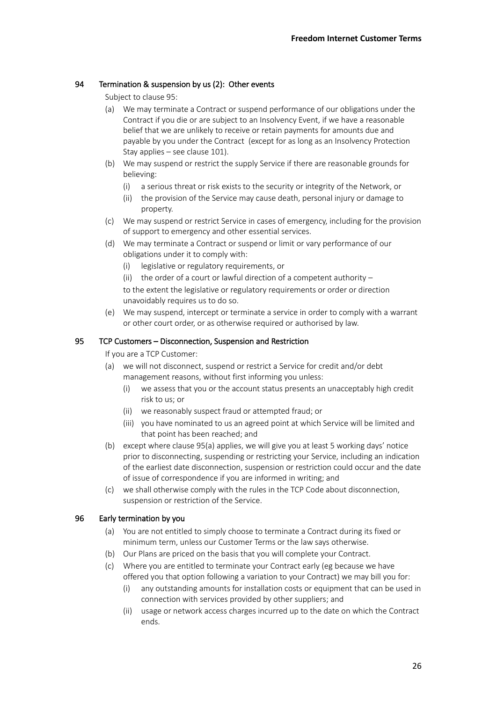## 94 Termination & suspension by us (2): Other events

Subject to claus[e 95:](#page-25-0)

- (a) We may terminate a Contract or suspend performance of our obligations under the Contract if you die or are subject to an Insolvency Event, if we have a reasonable belief that we are unlikely to receive or retain payments for amounts due and payable by you under the Contract (except for as long as an Insolvency Protection Stay applies – see claus[e 101\)](#page-27-0).
- (b) We may suspend or restrict the supply Service if there are reasonable grounds for believing:
	- (i) a serious threat or risk exists to the security or integrity of the Network, or
	- (ii) the provision of the Service may cause death, personal injury or damage to property.
- (c) We may suspend or restrict Service in cases of emergency, including for the provision of support to emergency and other essential services.
- (d) We may terminate a Contract or suspend or limit or vary performance of our obligations under it to comply with:
	- (i) legislative or regulatory requirements, or
	- (ii) the order of a court or lawful direction of a competent authority  $-$

to the extent the legislative or regulatory requirements or order or direction unavoidably requires us to do so.

(e) We may suspend, intercept or terminate a service in order to comply with a warrant or other court order, or as otherwise required or authorised by law.

# <span id="page-25-1"></span><span id="page-25-0"></span>95 TCP Customers – Disconnection, Suspension and Restriction

If you are a TCP Customer:

- (a) we will not disconnect, suspend or restrict a Service for credit and/or debt management reasons, without first informing you unless:
	- (i) we assess that you or the account status presents an unacceptably high credit risk to us; or
	- (ii) we reasonably suspect fraud or attempted fraud; or
	- (iii) you have nominated to us an agreed point at which Service will be limited and that point has been reached; and
- (b) except where claus[e 95](#page-25-0)[\(a\)](#page-25-1) applies, we will give you at least 5 working days' notice prior to disconnecting, suspending or restricting your Service, including an indication of the earliest date disconnection, suspension or restriction could occur and the date of issue of correspondence if you are informed in writing; and
- (c) we shall otherwise comply with the rules in the TCP Code about disconnection, suspension or restriction of the Service.

## <span id="page-25-2"></span>96 Early termination by you

- (a) You are not entitled to simply choose to terminate a Contract during its fixed or minimum term, unless our Customer Terms or the law says otherwise.
- (b) Our Plans are priced on the basis that you will complete your Contract.
- (c) Where you are entitled to terminate your Contract early (eg because we have offered you that option following a variation to your Contract) we may bill you for:
	- (i) any outstanding amounts for installation costs or equipment that can be used in connection with services provided by other suppliers; and
	- (ii) usage or network access charges incurred up to the date on which the Contract ends.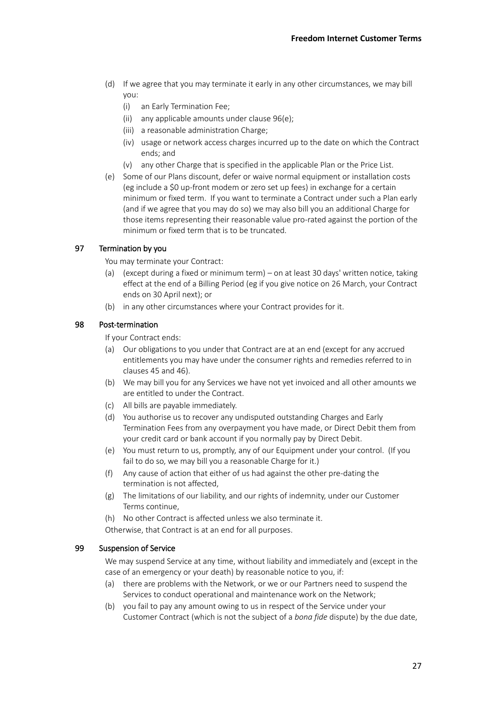- (d) If we agree that you may terminate it early in any other circumstances, we may bill you:
	- (i) an Early Termination Fee;
	- (ii) any applicable amounts under clause [96](#page-25-2)[\(e\);](#page-26-0)
	- (iii) a reasonable administration Charge;
	- (iv) usage or network access charges incurred up to the date on which the Contract ends; and
	- (v) any other Charge that is specified in the applicable Plan or the Price List.
- <span id="page-26-0"></span>(e) Some of our Plans discount, defer or waive normal equipment or installation costs (eg include a \$0 up-front modem or zero set up fees) in exchange for a certain minimum or fixed term. If you want to terminate a Contract under such a Plan early (and if we agree that you may do so) we may also bill you an additional Charge for those items representing their reasonable value pro-rated against the portion of the minimum or fixed term that is to be truncated.

## 97 Termination by you

You may terminate your Contract:

- (a) (except during a fixed or minimum term) on at least 30 days' written notice, taking effect at the end of a Billing Period (eg if you give notice on 26 March, your Contract ends on 30 April next); or
- (b) in any other circumstances where your Contract provides for it.

## 98 Post-termination

If your Contract ends:

- (a) Our obligations to you under that Contract are at an end (except for any accrued entitlements you may have under the consumer rights and remedies referred to in clause[s 45](#page-11-0) an[d 46\)](#page-11-1).
- (b) We may bill you for any Services we have not yet invoiced and all other amounts we are entitled to under the Contract.
- (c) All bills are payable immediately.
- (d) You authorise us to recover any undisputed outstanding Charges and Early Termination Fees from any overpayment you have made, or Direct Debit them from your credit card or bank account if you normally pay by Direct Debit.
- (e) You must return to us, promptly, any of our Equipment under your control. (If you fail to do so, we may bill you a reasonable Charge for it.)
- (f) Any cause of action that either of us had against the other pre-dating the termination is not affected,
- (g) The limitations of our liability, and our rights of indemnity, under our Customer Terms continue,
- (h) No other Contract is affected unless we also terminate it.

Otherwise, that Contract is at an end for all purposes.

## 99 Suspension of Service

We may suspend Service at any time, without liability and immediately and (except in the case of an emergency or your death) by reasonable notice to you, if:

- (a) there are problems with the Network, or we or our Partners need to suspend the Services to conduct operational and maintenance work on the Network;
- (b) you fail to pay any amount owing to us in respect of the Service under your Customer Contract (which is not the subject of a *bona fide* dispute) by the due date,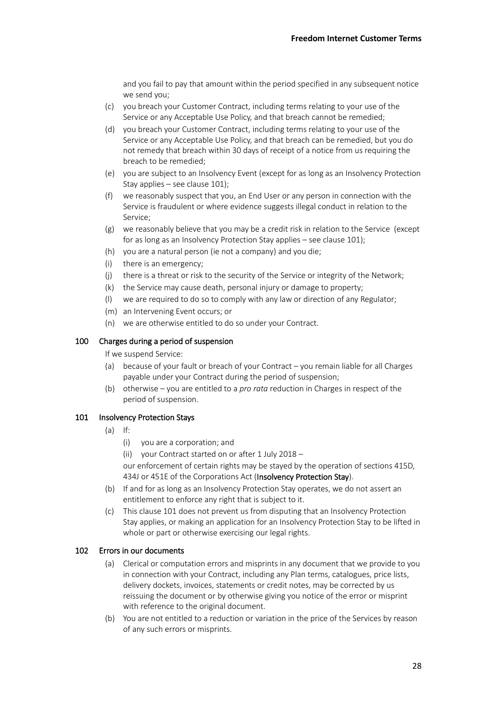and you fail to pay that amount within the period specified in any subsequent notice we send you;

- (c) you breach your Customer Contract, including terms relating to your use of the Service or any Acceptable Use Policy, and that breach cannot be remedied;
- (d) you breach your Customer Contract, including terms relating to your use of the Service or any Acceptable Use Policy, and that breach can be remedied, but you do not remedy that breach within 30 days of receipt of a notice from us requiring the breach to be remedied;
- (e) you are subject to an Insolvency Event (except for as long as an Insolvency Protection Stay applies – see claus[e 101\)](#page-27-0);
- (f) we reasonably suspect that you, an End User or any person in connection with the Service is fraudulent or where evidence suggests illegal conduct in relation to the Service;
- (g) we reasonably believe that you may be a credit risk in relation to the Service (except for as long as an Insolvency Protection Stay applies – see clause [101\)](#page-27-0);
- (h) you are a natural person (ie not a company) and you die;
- (i) there is an emergency;
- (j) there is a threat or risk to the security of the Service or integrity of the Network;
- (k) the Service may cause death, personal injury or damage to property;
- (l) we are required to do so to comply with any law or direction of any Regulator;
- (m) an Intervening Event occurs; or
- (n) we are otherwise entitled to do so under your Contract.

### 100 Charges during a period of suspension

If we suspend Service:

- (a) because of your fault or breach of your Contract you remain liable for all Charges payable under your Contract during the period of suspension;
- (b) otherwise you are entitled to a *pro rata* reduction in Charges in respect of the period of suspension.

#### <span id="page-27-0"></span>101 Insolvency Protection Stays

- (a) If:
	- (i) you are a corporation; and
	- (ii) your Contract started on or after 1 July 2018 –

our enforcement of certain rights may be stayed by the operation of sections 415D, 434J or 451E of the Corporations Act (Insolvency Protection Stay).

- (b) If and for as long as an Insolvency Protection Stay operates, we do not assert an entitlement to enforce any right that is subject to it.
- (c) This claus[e 101](#page-27-0) does not prevent us from disputing that an Insolvency Protection Stay applies, or making an application for an Insolvency Protection Stay to be lifted in whole or part or otherwise exercising our legal rights.

#### 102 Errors in our documents

- (a) Clerical or computation errors and misprints in any document that we provide to you in connection with your Contract, including any Plan terms, catalogues, price lists, delivery dockets, invoices, statements or credit notes, may be corrected by us reissuing the document or by otherwise giving you notice of the error or misprint with reference to the original document.
- (b) You are not entitled to a reduction or variation in the price of the Services by reason of any such errors or misprints.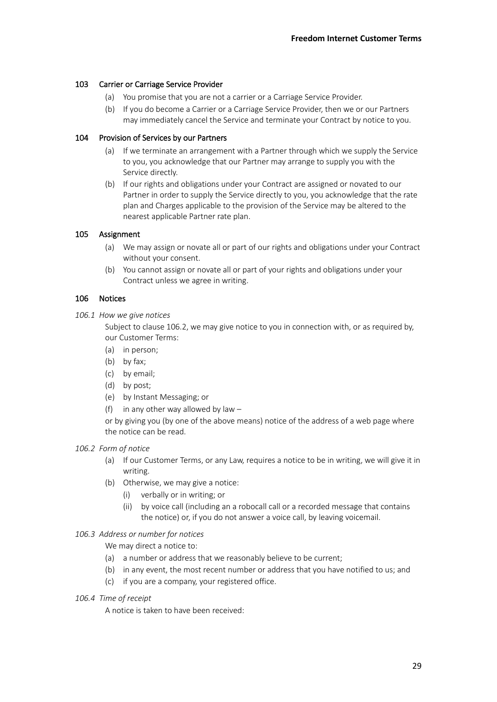## 103 Carrier or Carriage Service Provider

- (a) You promise that you are not a carrier or a Carriage Service Provider.
- (b) If you do become a Carrier or a Carriage Service Provider, then we or our Partners may immediately cancel the Service and terminate your Contract by notice to you.

## 104 Provision of Services by our Partners

- (a) If we terminate an arrangement with a Partner through which we supply the Service to you, you acknowledge that our Partner may arrange to supply you with the Service directly.
- (b) If our rights and obligations under your Contract are assigned or novated to our Partner in order to supply the Service directly to you, you acknowledge that the rate plan and Charges applicable to the provision of the Service may be altered to the nearest applicable Partner rate plan.

# 105 Assignment

- (a) We may assign or novate all or part of our rights and obligations under your Contract without your consent.
- (b) You cannot assign or novate all or part of your rights and obligations under your Contract unless we agree in writing.

# 106 Notices

*106.1 How we give notices*

Subject to claus[e 106.2,](#page-28-0) we may give notice to you in connection with, or as required by, our Customer Terms:

- (a) in person;
- (b) by fax;
- (c) by email;
- (d) by post;
- (e) by Instant Messaging; or
- (f) in any other way allowed by law  $-$

or by giving you (by one of the above means) notice of the address of a web page where the notice can be read.

## <span id="page-28-0"></span>*106.2 Form of notice*

- (a) If our Customer Terms, or any Law, requires a notice to be in writing, we will give it in writing.
- (b) Otherwise, we may give a notice:
	- (i) verbally or in writing; or
	- (ii) by voice call (including an a robocall call or a recorded message that contains the notice) or, if you do not answer a voice call, by leaving voicemail.

## *106.3 Address or number for notices*

We may direct a notice to:

- (a) a number or address that we reasonably believe to be current;
- (b) in any event, the most recent number or address that you have notified to us; and
- (c) if you are a company, your registered office.
- *106.4 Time of receipt*

A notice is taken to have been received: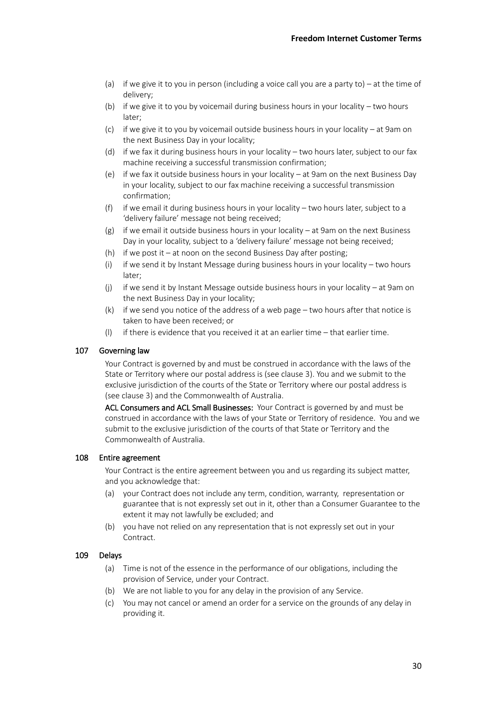- (a) if we give it to you in person (including a voice call you are a party to) at the time of delivery;
- (b) if we give it to you by voicemail during business hours in your locality two hours later;
- (c) if we give it to you by voicemail outside business hours in your locality at 9am on the next Business Day in your locality;
- (d) if we fax it during business hours in your locality two hours later, subject to our fax machine receiving a successful transmission confirmation;
- (e) if we fax it outside business hours in your locality at 9am on the next Business Day in your locality, subject to our fax machine receiving a successful transmission confirmation;
- (f) if we email it during business hours in your locality two hours later, subject to a 'delivery failure' message not being received;
- (g) if we email it outside business hours in your locality at 9am on the next Business Day in your locality, subject to a 'delivery failure' message not being received;
- (h) if we post it at noon on the second Business Day after posting;
- (i) if we send it by Instant Message during business hours in your locality two hours later;
- (j) if we send it by Instant Message outside business hours in your locality at 9am on the next Business Day in your locality;
- (k) if we send you notice of the address of a web page two hours after that notice is taken to have been received; or
- (l) if there is evidence that you received it at an earlier time that earlier time.

### 107 Governing law

Your Contract is governed by and must be construed in accordance with the laws of the State or Territory where our postal address is (see clause [3\)](#page-0-1). You and we submit to the exclusive jurisdiction of the courts of the State or Territory where our postal address is (see claus[e 3\)](#page-0-1) and the Commonwealth of Australia.

ACL Consumers and ACL Small Businesses: Your Contract is governed by and must be construed in accordance with the laws of your State or Territory of residence. You and we submit to the exclusive jurisdiction of the courts of that State or Territory and the Commonwealth of Australia.

#### 108 Entire agreement

Your Contract is the entire agreement between you and us regarding its subject matter, and you acknowledge that:

- (a) your Contract does not include any term, condition, warranty, representation or guarantee that is not expressly set out in it, other than a Consumer Guarantee to the extent it may not lawfully be excluded; and
- (b) you have not relied on any representation that is not expressly set out in your Contract.

## 109 Delays

- (a) Time is not of the essence in the performance of our obligations, including the provision of Service, under your Contract.
- (b) We are not liable to you for any delay in the provision of any Service.
- (c) You may not cancel or amend an order for a service on the grounds of any delay in providing it.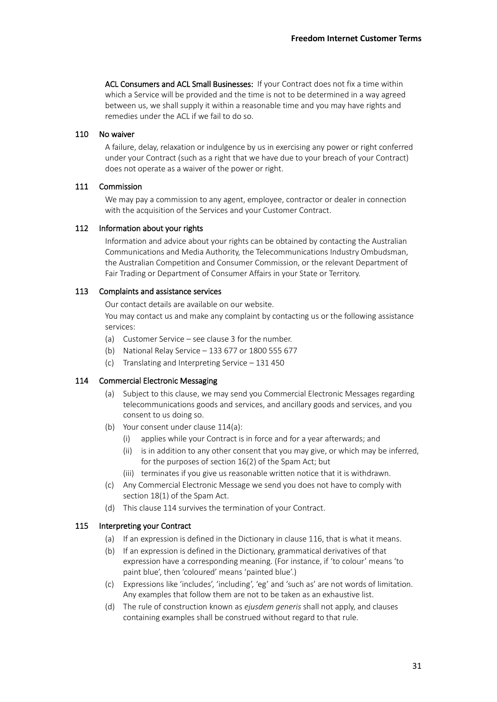ACL Consumers and ACL Small Businesses: If your Contract does not fix a time within which a Service will be provided and the time is not to be determined in a way agreed between us, we shall supply it within a reasonable time and you may have rights and remedies under the ACL if we fail to do so.

### 110 No waiver

A failure, delay, relaxation or indulgence by us in exercising any power or right conferred under your Contract (such as a right that we have due to your breach of your Contract) does not operate as a waiver of the power or right.

## 111 Commission

We may pay a commission to any agent, employee, contractor or dealer in connection with the acquisition of the Services and your Customer Contract.

#### 112 Information about your rights

Information and advice about your rights can be obtained by contacting the Australian Communications and Media Authority, the Telecommunications Industry Ombudsman, the Australian Competition and Consumer Commission, or the relevant Department of Fair Trading or Department of Consumer Affairs in your State or Territory.

### 113 Complaints and assistance services

Our contact details are available on our website.

You may contact us and make any complaint by contacting us or the following assistance services:

- (a) Customer Service see clause [3](#page-0-1) for the number.
- (b) National Relay Service 133 677 or 1800 555 677
- (c) Translating and Interpreting Service 131 450

#### <span id="page-30-2"></span><span id="page-30-1"></span>114 Commercial Electronic Messaging

- (a) Subject to this clause, we may send you Commercial Electronic Messages regarding telecommunications goods and services, and ancillary goods and services, and you consent to us doing so.
- (b) Your consent under clause [114](#page-30-1)[\(a\):](#page-30-2)
	- applies while your Contract is in force and for a year afterwards; and
	- (ii) is in addition to any other consent that you may give, or which may be inferred, for the purposes of section 16(2) of the Spam Act; but
	- (iii) terminates if you give us reasonable written notice that it is withdrawn.
- (c) Any Commercial Electronic Message we send you does not have to comply with section 18(1) of the Spam Act.
- (d) This claus[e 114](#page-30-1) survives the termination of your Contract.

## <span id="page-30-0"></span>115 Interpreting your Contract

- (a) If an expression is defined in the Dictionary in clause [116,](#page-31-0) that is what it means.
- (b) If an expression is defined in the Dictionary, grammatical derivatives of that expression have a corresponding meaning. (For instance, if 'to colour' means 'to paint blue', then 'coloured' means 'painted blue'.)
- (c) Expressions like 'includes', 'including', 'eg' and 'such as' are not words of limitation. Any examples that follow them are not to be taken as an exhaustive list.
- (d) The rule of construction known as *ejusdem generis* shall not apply, and clauses containing examples shall be construed without regard to that rule.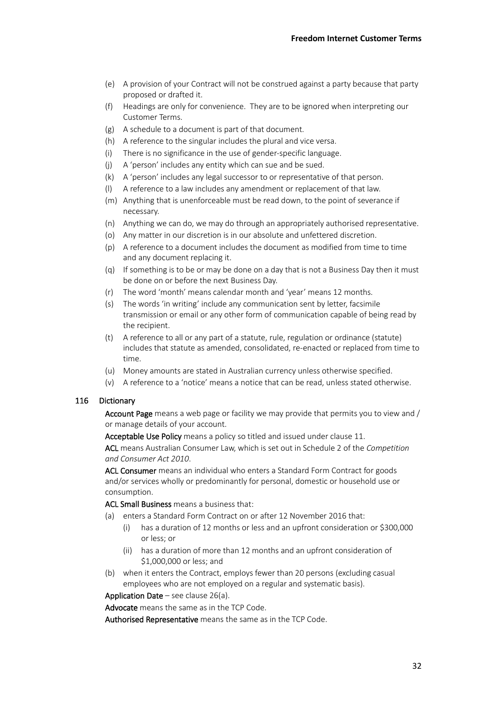- (e) A provision of your Contract will not be construed against a party because that party proposed or drafted it.
- (f) Headings are only for convenience. They are to be ignored when interpreting our Customer Terms.
- (g) A schedule to a document is part of that document.
- (h) A reference to the singular includes the plural and vice versa.
- (i) There is no significance in the use of gender-specific language.
- (j) A 'person' includes any entity which can sue and be sued.
- (k) A 'person' includes any legal successor to or representative of that person.
- (l) A reference to a law includes any amendment or replacement of that law.
- (m) Anything that is unenforceable must be read down, to the point of severance if necessary.
- (n) Anything we can do, we may do through an appropriately authorised representative.
- (o) Any matter in our discretion is in our absolute and unfettered discretion.
- (p) A reference to a document includes the document as modified from time to time and any document replacing it.
- (q) If something is to be or may be done on a day that is not a Business Day then it must be done on or before the next Business Day.
- (r) The word 'month' means calendar month and 'year' means 12 months.
- (s) The words 'in writing' include any communication sent by letter, facsimile transmission or email or any other form of communication capable of being read by the recipient.
- (t) A reference to all or any part of a statute, rule, regulation or ordinance (statute) includes that statute as amended, consolidated, re-enacted or replaced from time to time.
- (u) Money amounts are stated in Australian currency unless otherwise specified.
- (v) A reference to a 'notice' means a notice that can be read, unless stated otherwise.

### <span id="page-31-0"></span>116 Dictionary

Account Page means a web page or facility we may provide that permits you to view and / or manage details of your account.

Acceptable Use Policy means a policy so titled and issued under claus[e 11.](#page-1-0)

ACL means Australian Consumer Law, which is set out in Schedule 2 of the *Competition and Consumer Act 2010*.

ACL Consumer means an individual who enters a Standard Form Contract for goods and/or services wholly or predominantly for personal, domestic or household use or consumption.

ACL Small Business means a business that:

- (a) enters a Standard Form Contract on or after 12 November 2016 that:
	- (i) has a duration of 12 months or less and an upfront consideration or \$300,000 or less; or
	- (ii) has a duration of more than 12 months and an upfront consideration of \$1,000,000 or less; and
- (b) when it enters the Contract, employs fewer than 20 persons (excluding casual employees who are not employed on a regular and systematic basis).

Application Date – see clause  $26(a)$ .

Advocate means the same as in the TCP Code.

Authorised Representative means the same as in the TCP Code.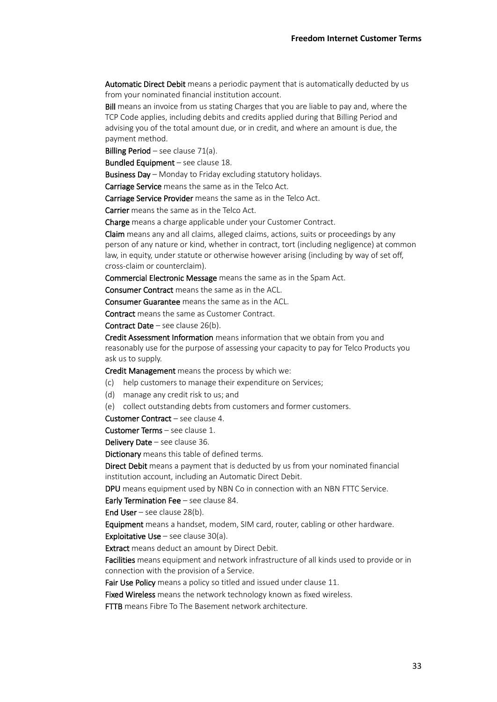Automatic Direct Debit means a periodic payment that is automatically deducted by us from your nominated financial institution account.

Bill means an invoice from us stating Charges that you are liable to pay and, where the TCP Code applies, including debits and credits applied during that Billing Period and advising you of the total amount due, or in credit, and where an amount is due, the payment method.

Billing Period – see claus[e 71](#page-18-0)[\(a\).](#page-18-1)

Bundled Equipment – see clause [18.](#page-2-2)

Business Day – Monday to Friday excluding statutory holidays.

Carriage Service means the same as in the Telco Act.

Carriage Service Provider means the same as in the Telco Act.

Carrier means the same as in the Telco Act.

Charge means a charge applicable under your Customer Contract.

Claim means any and all claims, alleged claims, actions, suits or proceedings by any person of any nature or kind, whether in contract, tort (including negligence) at common law, in equity, under statute or otherwise however arising (including by way of set off, cross-claim or counterclaim).

Commercial Electronic Message means the same as in the Spam Act.

Consumer Contract means the same as in the ACL.

Consumer Guarantee means the same as in the ACL.

Contract means the same as Customer Contract.

Contract Date – see clause [26](#page-4-1)[\(b\).](#page-4-3)

Credit Assessment Information means information that we obtain from you and reasonably use for the purpose of assessing your capacity to pay for Telco Products you ask us to supply.

Credit Management means the process by which we:

- (c) help customers to manage their expenditure on Services;
- (d) manage any credit risk to us; and
- (e) collect outstanding debts from customers and former customers.

Customer Contract – see clause [4.](#page-0-2)

#### Customer Terms – see claus[e 1.](#page-0-3)

Delivery Date – see clause [36.](#page-7-1)

Dictionary means this table of defined terms.

Direct Debit means a payment that is deducted by us from your nominated financial institution account, including an Automatic Direct Debit.

DPU means equipment used by NBN Co in connection with an NBN FTTC Service.

Early Termination Fee – see claus[e 84.](#page-22-0)

End User – see clause  $28(b)$ .

Equipment means a handset, modem, SIM card, router, cabling or other hardware. **Exploitative Use** – see clause  $30(a)$ .

Extract means deduct an amount by Direct Debit.

Facilities means equipment and network infrastructure of all kinds used to provide or in connection with the provision of a Service.

Fair Use Policy means a policy so titled and issued under claus[e 11.](#page-1-0)

Fixed Wireless means the network technology known as fixed wireless.

FTTB means Fibre To The Basement network architecture.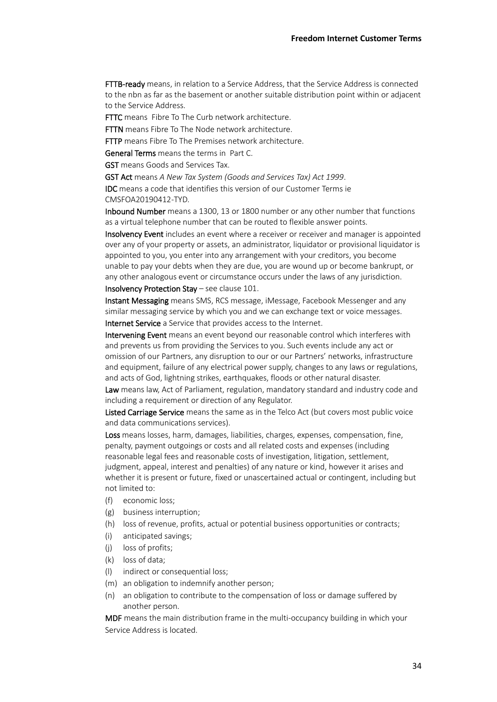FTTB-ready means, in relation to a Service Address, that the Service Address is connected to the nbn as far as the basement or another suitable distribution point within or adjacent to the Service Address.

**FTTC** means Fibre To The Curb network architecture.

FTTN means Fibre To The Node network architecture.

FTTP means Fibre To The Premises network architecture.

General Terms means the terms in [Part C.](#page-4-0)

GST means Goods and Services Tax.

GST Act means *A New Tax System (Goods and Services Tax) Act 1999*.

IDC means a code that identifies this version of our Customer Terms ie CMSFOA20190412-TYD.

Inbound Number means a 1300, 13 or 1800 number or any other number that functions as a virtual telephone number that can be routed to flexible answer points.

Insolvency Event includes an event where a receiver or receiver and manager is appointed over any of your property or assets, an administrator, liquidator or provisional liquidator is appointed to you, you enter into any arrangement with your creditors, you become unable to pay your debts when they are due, you are wound up or become bankrupt, or any other analogous event or circumstance occurs under the laws of any jurisdiction.

#### Insolvency Protection Stay – see clause [101.](#page-27-0)

Instant Messaging means SMS, RCS message, iMessage, Facebook Messenger and any similar messaging service by which you and we can exchange text or voice messages.

Internet Service a Service that provides access to the Internet.

Intervening Event means an event beyond our reasonable control which interferes with and prevents us from providing the Services to you. Such events include any act or omission of our Partners, any disruption to our or our Partners' networks, infrastructure and equipment, failure of any electrical power supply, changes to any laws or regulations, and acts of God, lightning strikes, earthquakes, floods or other natural disaster.

Law means law, Act of Parliament, regulation, mandatory standard and industry code and including a requirement or direction of any Regulator.

Listed Carriage Service means the same as in the Telco Act (but covers most public voice and data communications services).

Loss means losses, harm, damages, liabilities, charges, expenses, compensation, fine, penalty, payment outgoings or costs and all related costs and expenses (including reasonable legal fees and reasonable costs of investigation, litigation, settlement, judgment, appeal, interest and penalties) of any nature or kind, however it arises and whether it is present or future, fixed or unascertained actual or contingent, including but not limited to:

- (f) economic loss;
- (g) business interruption;
- (h) loss of revenue, profits, actual or potential business opportunities or contracts;
- (i) anticipated savings;
- (j) loss of profits;
- (k) loss of data;
- (l) indirect or consequential loss;
- (m) an obligation to indemnify another person;
- (n) an obligation to contribute to the compensation of loss or damage suffered by another person.

MDF means the main distribution frame in the multi-occupancy building in which your Service Address is located.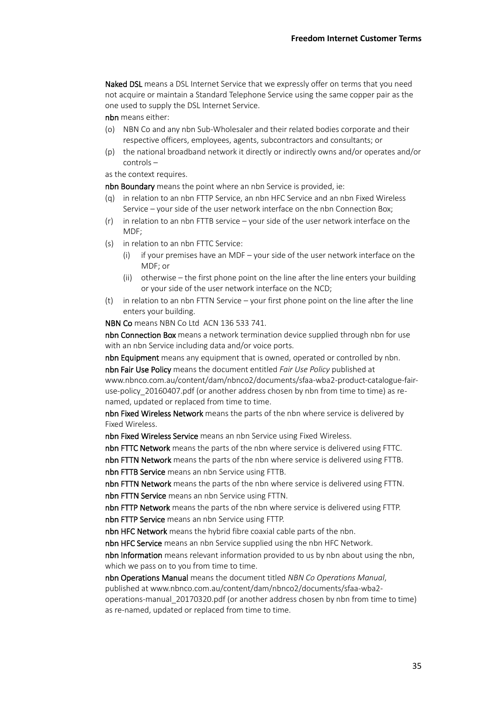Naked DSL means a DSL Internet Service that we expressly offer on terms that you need not acquire or maintain a Standard Telephone Service using the same copper pair as the one used to supply the DSL Internet Service.

nbn means either:

- (o) NBN Co and any nbn Sub-Wholesaler and their related bodies corporate and their respective officers, employees, agents, subcontractors and consultants; or
- (p) the national broadband network it directly or indirectly owns and/or operates and/or controls –

as the context requires.

nbn Boundary means the point where an nbn Service is provided, ie:

- (q) in relation to an nbn FTTP Service, an nbn HFC Service and an nbn Fixed Wireless Service – your side of the user network interface on the nbn Connection Box;
- (r) in relation to an nbn FTTB service your side of the user network interface on the MDF;
- (s) in relation to an nbn FTTC Service:
	- (i) if your premises have an MDF your side of the user network interface on the MDF; or
	- (ii) otherwise the first phone point on the line after the line enters your building or your side of the user network interface on the NCD;
- (t) in relation to an nbn FTTN Service your first phone point on the line after the line enters your building.

NBN Co means NBN Co Ltd ACN 136 533 741.

nbn Connection Box means a network termination device supplied through nbn for use with an nbn Service including data and/or voice ports.

nbn Equipment means any equipment that is owned, operated or controlled by nbn.

nbn Fair Use Policy means the document entitled *Fair Use Policy* published at www.nbnco.com.au/content/dam/nbnco2/documents/sfaa-wba2-product-catalogue-fairuse-policy\_20160407.pdf (or another address chosen by nbn from time to time) as renamed, updated or replaced from time to time.

nbn Fixed Wireless Network means the parts of the nbn where service is delivered by Fixed Wireless.

nbn Fixed Wireless Service means an nbn Service using Fixed Wireless.

nbn FTTC Network means the parts of the nbn where service is delivered using FTTC. nbn FTTN Network means the parts of the nbn where service is delivered using FTTB.

nbn FTTB Service means an nbn Service using FTTB.

nbn FTTN Network means the parts of the nbn where service is delivered using FTTN. nbn FTTN Service means an nbn Service using FTTN.

nbn FTTP Network means the parts of the nbn where service is delivered using FTTP. nbn FTTP Service means an nbn Service using FTTP.

nbn HFC Network means the hybrid fibre coaxial cable parts of the nbn.

nbn HFC Service means an nbn Service supplied using the nbn HFC Network.

nbn Information means relevant information provided to us by nbn about using the nbn, which we pass on to you from time to time.

nbn Operations Manual means the document titled *NBN Co Operations Manual*, published at www.nbnco.com.au/content/dam/nbnco2/documents/sfaa-wba2-

operations-manual\_20170320.pdf (or another address chosen by nbn from time to time) as re-named, updated or replaced from time to time.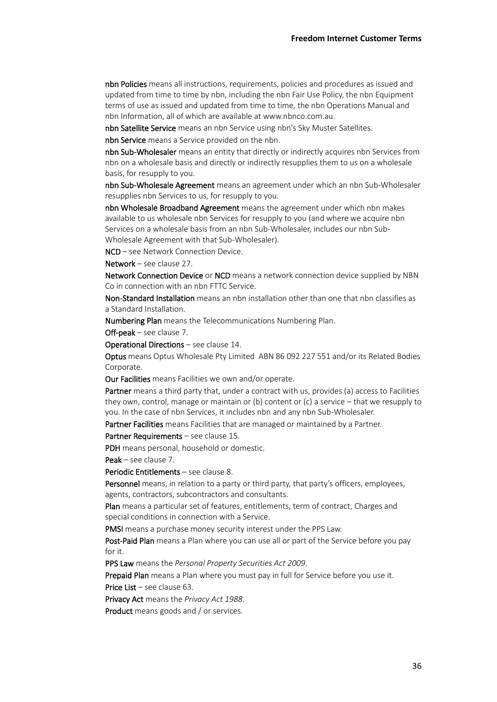nbn Policies means all instructions, requirements, policies and procedures as issued and updated from time to time by nbn, including the nbn Fair Use Policy, the nbn Equipment terms of use as issued and updated from time to time, the nbn Operations Manual and nbn Information, all of which are available at www.nbnco.com.au.

nbn Satellite Service means an nbn Service using nbn's Sky Muster Satellites.

nbn Service means a Service provided on the nbn.

nbn Sub-Wholesaler means an entity that directly or indirectly acquires nbn Services from nbn on a wholesale basis and directly or indirectly resupplies them to us on a wholesale basis, for resupply to you.

nbn Sub-Wholesale Agreement means an agreement under which an nbn Sub-Wholesaler resupplies nbn Services to us, for resupply to you.

nbn Wholesale Broadband Agreement means the agreement under which nbn makes available to us wholesale nbn Services for resupply to you (and where we acquire nbn Services on a wholesale basis from an nbn Sub-Wholesaler, includes our nbn Sub-Wholesale Agreement with that Sub-Wholesaler).

NCD – see Network Connection Device.

Network – see clause [27.](#page-4-6)

Network Connection Device or NCD means a network connection device supplied by NBN Co in connection with an nbn FTTC Service.

Non-Standard Installation means an nbn installation other than one that nbn classifies as a Standard Installation.

Numbering Plan means the Telecommunications Numbering Plan.

Off-peak – see clause [7.](#page-1-1)

Operational Directions – see claus[e 14.](#page-2-3)

Optus means Optus Wholesale Pty Limited ABN 86 092 227 551 and/or its Related Bodies Corporate.

Our Facilities means Facilities we own and/or operate.

Partner means a third party that, under a contract with us, provides (a) access to Facilities they own, control, manage or maintain or (b) content or (c) a service – that we resupply to you. In the case of nbn Services, it includes nbn and any nbn Sub-Wholesaler.

Partner Facilities means Facilities that are managed or maintained by a Partner.

Partner Requirements - see claus[e 15.](#page-2-4)

PDH means personal, household or domestic.

Peak – see claus[e 7.](#page-1-1)

Periodic Entitlements – see claus[e 8.](#page-1-2)

Personnel means, in relation to a party or third party, that party's officers, employees, agents, contractors, subcontractors and consultants.

Plan means a particular set of features, entitlements, term of contract, Charges and special conditions in connection with a Service.

PMSI means a purchase money security interest under the PPS Law.

Post-Paid Plan means a Plan where you can use all or part of the Service before you pay for it.

PPS Law means the *Personal Property Securities Act 2009*.

Prepaid Plan means a Plan where you must pay in full for Service before you use it. Price List - see clause [63.](#page-16-1)

Privacy Act means the *Privacy Act 1988*.

Product means goods and / or services.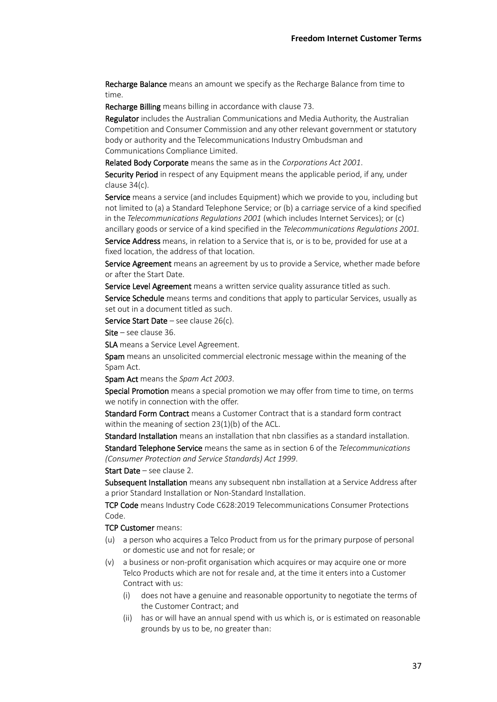Recharge Balance means an amount we specify as the Recharge Balance from time to time.

Recharge Billing means billing in accordance with claus[e 73.](#page-19-1)

Regulator includes the Australian Communications and Media Authority, the Australian Competition and Consumer Commission and any other relevant government or statutory body or authority and the Telecommunications Industry Ombudsman and Communications Compliance Limited.

Related Body Corporate means the same as in the *Corporations Act 2001*.

Security Period in respect of any Equipment means the applicable period, if any, under clause [34](#page-6-0)[\(c\).](#page-6-1)

Service means a service (and includes Equipment) which we provide to you, including but not limited to (a) a Standard Telephone Service; or (b) a carriage service of a kind specified in the *Telecommunications Regulations 2001* (which includes Internet Services); or (c) ancillary goods or service of a kind specified in the *Telecommunications Regulations 2001.*

Service Address means, in relation to a Service that is, or is to be, provided for use at a fixed location, the address of that location.

Service Agreement means an agreement by us to provide a Service, whether made before or after the Start Date.

Service Level Agreement means a written service quality assurance titled as such.

Service Schedule means terms and conditions that apply to particular Services, usually as set out in a document titled as such.

Service Start Date – see clause  $26(c)$ .

Site – see clause [36.](#page-7-1)

SLA means a Service Level Agreement.

Spam means an unsolicited commercial electronic message within the meaning of the Spam Act.

Spam Act means the *Spam Act 2003*.

Special Promotion means a special promotion we may offer from time to time, on terms we notify in connection with the offer.

Standard Form Contract means a Customer Contract that is a standard form contract within the meaning of section 23(1)(b) of the ACL.

Standard Installation means an installation that nbn classifies as a standard installation.

Standard Telephone Service means the same as in section 6 of the *Telecommunications (Consumer Protection and Service Standards) Act 1999*.

Start Date – see clause [2.](#page-0-4)

Subsequent Installation means any subsequent nbn installation at a Service Address after a prior Standard Installation or Non-Standard Installation.

TCP Code means Industry Code C628:2019 Telecommunications Consumer Protections Code.

TCP Customer means:

- (u) a person who acquires a Telco Product from us for the primary purpose of personal or domestic use and not for resale; or
- (v) a business or non-profit organisation which acquires or may acquire one or more Telco Products which are not for resale and, at the time it enters into a Customer Contract with us:
	- (i) does not have a genuine and reasonable opportunity to negotiate the terms of the Customer Contract; and
	- (ii) has or will have an annual spend with us which is, or is estimated on reasonable grounds by us to be, no greater than: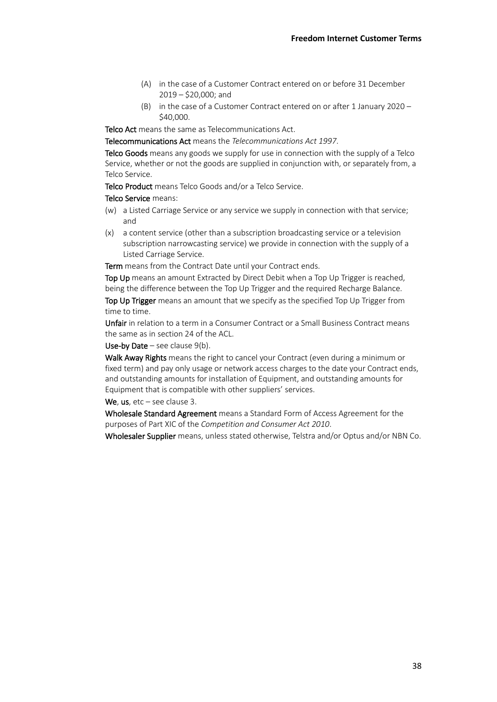- (A) in the case of a Customer Contract entered on or before 31 December 2019 – \$20,000; and
- (B) in the case of a Customer Contract entered on or after 1 January 2020 \$40,000.

Telco Act means the same as Telecommunications Act.

Telecommunications Act means the *Telecommunications Act 1997*.

Telco Goods means any goods we supply for use in connection with the supply of a Telco Service, whether or not the goods are supplied in conjunction with, or separately from, a Telco Service.

Telco Product means Telco Goods and/or a Telco Service.

### Telco Service means:

- (w) a Listed Carriage Service or any service we supply in connection with that service; and
- (x) a content service (other than a subscription broadcasting service or a television subscription narrowcasting service) we provide in connection with the supply of a Listed Carriage Service.

Term means from the Contract Date until your Contract ends.

Top Up means an amount Extracted by Direct Debit when a Top Up Trigger is reached, being the difference between the Top Up Trigger and the required Recharge Balance.

Top Up Trigger means an amount that we specify as the specified Top Up Trigger from time to time.

Unfair in relation to a term in a Consumer Contract or a Small Business Contract means the same as in section 24 of the ACL.

Use-by Date – see clause  $9(b)$ .

Walk Away Rights means the right to cancel your Contract (even during a minimum or fixed term) and pay only usage or network access charges to the date your Contract ends, and outstanding amounts for installation of Equipment, and outstanding amounts for Equipment that is compatible with other suppliers' services.

We, us,  $etc - see$  clause [3.](#page-0-1)

Wholesale Standard Agreement means a Standard Form of Access Agreement for the purposes of Part XIC of the *Competition and Consumer Act 2010*.

Wholesaler Supplier means, unless stated otherwise, Telstra and/or Optus and/or NBN Co.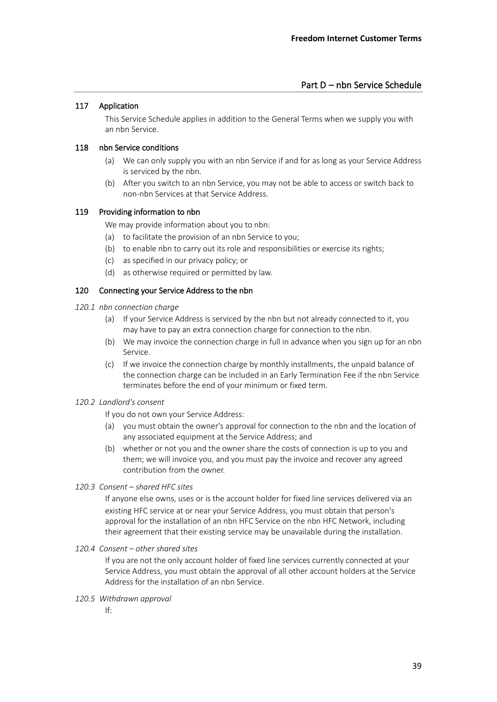# 117 Application

This Service Schedule applies in addition to the General Terms when we supply you with an nbn Service.

## 118 nbn Service conditions

- (a) We can only supply you with an nbn Service if and for as long as your Service Address is serviced by the nbn.
- (b) After you switch to an nbn Service, you may not be able to access or switch back to non-nbn Services at that Service Address.

# 119 Providing information to nbn

We may provide information about you to nbn:

- (a) to facilitate the provision of an nbn Service to you;
- (b) to enable nbn to carry out its role and responsibilities or exercise its rights;
- (c) as specified in our privacy policy; or
- (d) as otherwise required or permitted by law.

# 120 Connecting your Service Address to the nbn

- *120.1 nbn connection charge*
	- (a) If your Service Address is serviced by the nbn but not already connected to it, you may have to pay an extra connection charge for connection to the nbn.
	- (b) We may invoice the connection charge in full in advance when you sign up for an nbn Service.
	- (c) If we invoice the connection charge by monthly installments, the unpaid balance of the connection charge can be included in an Early Termination Fee if the nbn Service terminates before the end of your minimum or fixed term.

## *120.2 Landlord's consent*

If you do not own your Service Address:

- (a) you must obtain the owner's approval for connection to the nbn and the location of any associated equipment at the Service Address; and
- (b) whether or not you and the owner share the costs of connection is up to you and them; we will invoice you, and you must pay the invoice and recover any agreed contribution from the owner.
- *120.3 Consent – shared HFC sites*

If anyone else owns, uses or is the account holder for fixed line services delivered via an existing HFC service at or near your Service Address, you must obtain that person's approval for the installation of an nbn HFC Service on the nbn HFC Network, including their agreement that their existing service may be unavailable during the installation.

*120.4 Consent – other shared sites*

If you are not the only account holder of fixed line services currently connected at your Service Address, you must obtain the approval of all other account holders at the Service Address for the installation of an nbn Service.

- *120.5 Withdrawn approval*
	- If: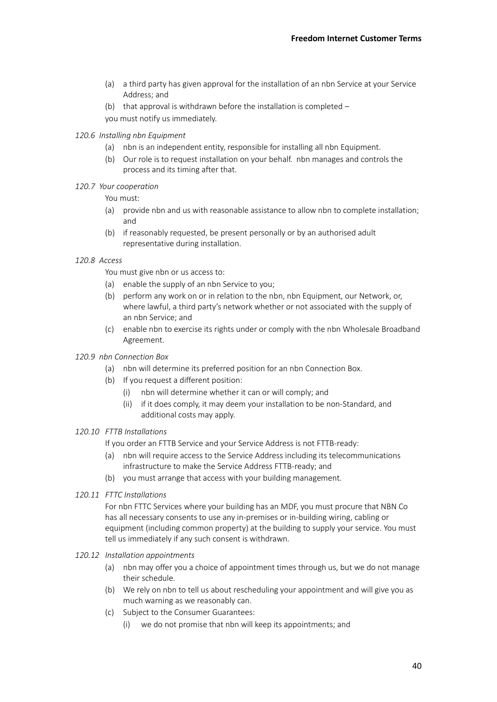- (a) a third party has given approval for the installation of an nbn Service at your Service Address; and
- (b) that approval is withdrawn before the installation is completed  $$ you must notify us immediately.
- *120.6 Installing nbn Equipment*
	- (a) nbn is an independent entity, responsible for installing all nbn Equipment.
	- (b) Our role is to request installation on your behalf. nbn manages and controls the process and its timing after that.

#### *120.7 Your cooperation*

You must:

- (a) provide nbn and us with reasonable assistance to allow nbn to complete installation; and
- (b) if reasonably requested, be present personally or by an authorised adult representative during installation.

#### <span id="page-39-0"></span>*120.8 Access*

You must give nbn or us access to:

- (a) enable the supply of an nbn Service to you;
- (b) perform any work on or in relation to the nbn, nbn Equipment, our Network, or, where lawful, a third party's network whether or not associated with the supply of an nbn Service; and
- (c) enable nbn to exercise its rights under or comply with the nbn Wholesale Broadband Agreement.

#### *120.9 nbn Connection Box*

- (a) nbn will determine its preferred position for an nbn Connection Box.
- (b) If you request a different position:
	- (i) nbn will determine whether it can or will comply; and
	- (ii) if it does comply, it may deem your installation to be non-Standard, and additional costs may apply.

#### *120.10 FTTB Installations*

If you order an FTTB Service and your Service Address is not FTTB-ready:

- (a) nbn will require access to the Service Address including its telecommunications infrastructure to make the Service Address FTTB-ready; and
- (b) you must arrange that access with your building management.
- *120.11 FTTC Installations*

For nbn FTTC Services where your building has an MDF, you must procure that NBN Co has all necessary consents to use any in-premises or in-building wiring, cabling or equipment (including common property) at the building to supply your service. You must tell us immediately if any such consent is withdrawn.

- *120.12 Installation appointments*
	- (a) nbn may offer you a choice of appointment times through us, but we do not manage their schedule.
	- (b) We rely on nbn to tell us about rescheduling your appointment and will give you as much warning as we reasonably can.
	- (c) Subject to the Consumer Guarantees:
		- (i) we do not promise that nbn will keep its appointments; and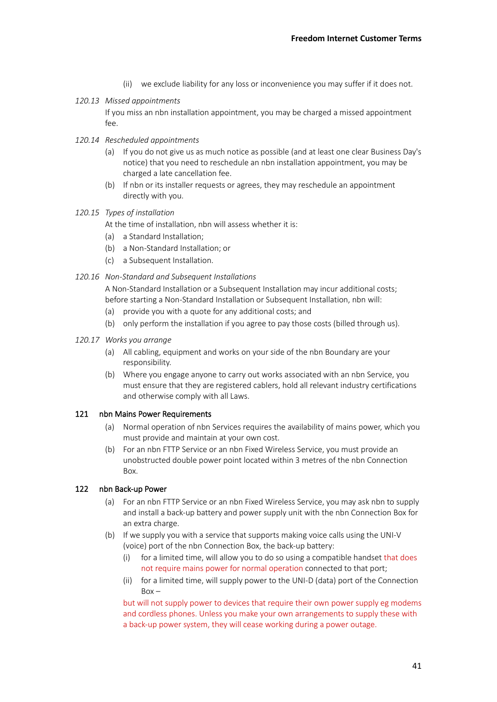- (ii) we exclude liability for any loss or inconvenience you may suffer if it does not.
- *120.13 Missed appointments*

If you miss an nbn installation appointment, you may be charged a missed appointment fee.

- *120.14 Rescheduled appointments*
	- (a) If you do not give us as much notice as possible (and at least one clear Business Day's notice) that you need to reschedule an nbn installation appointment, you may be charged a late cancellation fee.
	- (b) If nbn or its installer requests or agrees, they may reschedule an appointment directly with you.

## *120.15 Types of installation*

At the time of installation, nbn will assess whether it is:

- (a) a Standard Installation;
- (b) a Non-Standard Installation; or
- (c) a Subsequent Installation.

### *120.16 Non-Standard and Subsequent Installations*

A Non-Standard Installation or a Subsequent Installation may incur additional costs; before starting a Non-Standard Installation or Subsequent Installation, nbn will:

- (a) provide you with a quote for any additional costs; and
- (b) only perform the installation if you agree to pay those costs (billed through us).
- *120.17 Works you arrange*
	- (a) All cabling, equipment and works on your side of the nbn Boundary are your responsibility.
	- (b) Where you engage anyone to carry out works associated with an nbn Service, you must ensure that they are registered cablers, hold all relevant industry certifications and otherwise comply with all Laws.

#### 121 nbn Mains Power Requirements

- (a) Normal operation of nbn Services requires the availability of mains power, which you must provide and maintain at your own cost.
- (b) For an nbn FTTP Service or an nbn Fixed Wireless Service, you must provide an unobstructed double power point located within 3 metres of the nbn Connection Box.

## 122 nbn Back-up Power

- (a) For an nbn FTTP Service or an nbn Fixed Wireless Service, you may ask nbn to supply and install a back-up battery and power supply unit with the nbn Connection Box for an extra charge.
- (b) If we supply you with a service that supports making voice calls using the UNI-V (voice) port of the nbn Connection Box, the back-up battery:
	- (i) for a limited time, will allow you to do so using a compatible handset that does not require mains power for normal operation connected to that port;
	- (ii) for a limited time, will supply power to the UNI-D (data) port of the Connection  $Box -$

but will not supply power to devices that require their own power supply eg modems and cordless phones. Unless you make your own arrangements to supply these with a back-up power system, they will cease working during a power outage.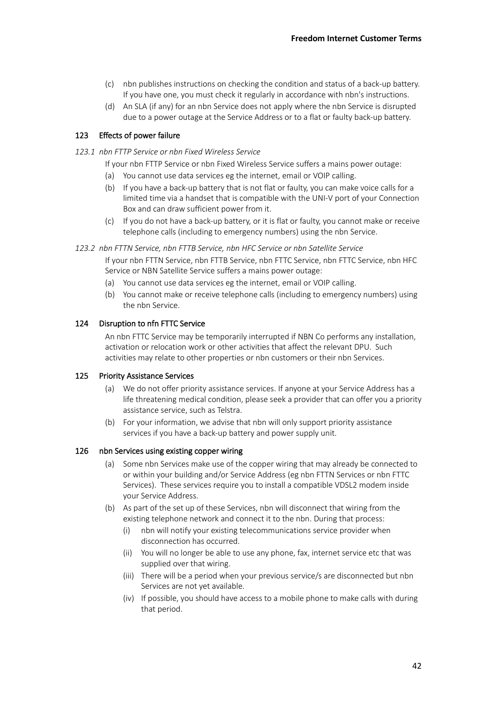- (c) nbn publishes instructions on checking the condition and status of a back-up battery. If you have one, you must check it regularly in accordance with nbn's instructions.
- (d) An SLA (if any) for an nbn Service does not apply where the nbn Service is disrupted due to a power outage at the Service Address or to a flat or faulty back-up battery.

## 123 Effects of power failure

- *123.1 nbn FTTP Service or nbn Fixed Wireless Service*
	- If your nbn FTTP Service or nbn Fixed Wireless Service suffers a mains power outage:
	- (a) You cannot use data services eg the internet, email or VOIP calling.
	- (b) If you have a back-up battery that is not flat or faulty, you can make voice calls for a limited time via a handset that is compatible with the UNI-V port of your Connection Box and can draw sufficient power from it.
	- (c) If you do not have a back-up battery, or it is flat or faulty, you cannot make or receive telephone calls (including to emergency numbers) using the nbn Service.

*123.2 nbn FTTN Service, nbn FTTB Service, nbn HFC Service or nbn Satellite Service*

If your nbn FTTN Service, nbn FTTB Service, nbn FTTC Service, nbn FTTC Service, nbn HFC Service or NBN Satellite Service suffers a mains power outage:

- (a) You cannot use data services eg the internet, email or VOIP calling.
- (b) You cannot make or receive telephone calls (including to emergency numbers) using the nbn Service.

### 124 Disruption to nfn FTTC Service

An nbn FTTC Service may be temporarily interrupted if NBN Co performs any installation, activation or relocation work or other activities that affect the relevant DPU. Such activities may relate to other properties or nbn customers or their nbn Services.

#### 125 Priority Assistance Services

- (a) We do not offer priority assistance services. If anyone at your Service Address has a life threatening medical condition, please seek a provider that can offer you a priority assistance service, such as Telstra.
- (b) For your information, we advise that nbn will only support priority assistance services if you have a back-up battery and power supply unit.

### 126 nbn Services using existing copper wiring

- (a) Some nbn Services make use of the copper wiring that may already be connected to or within your building and/or Service Address (eg nbn FTTN Services or nbn FTTC Services). These services require you to install a compatible VDSL2 modem inside your Service Address.
- (b) As part of the set up of these Services, nbn will disconnect that wiring from the existing telephone network and connect it to the nbn. During that process:
	- (i) nbn will notify your existing telecommunications service provider when disconnection has occurred.
	- (ii) You will no longer be able to use any phone, fax, internet service etc that was supplied over that wiring.
	- (iii) There will be a period when your previous service/s are disconnected but nbn Services are not yet available.
	- (iv) If possible, you should have access to a mobile phone to make calls with during that period.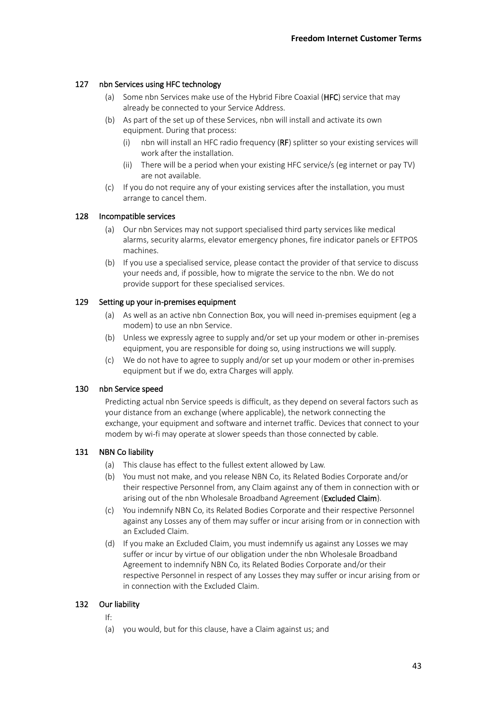# 127 nbn Services using HFC technology

- (a) Some nbn Services make use of the Hybrid Fibre Coaxial (HFC) service that may already be connected to your Service Address.
- (b) As part of the set up of these Services, nbn will install and activate its own equipment. During that process:
	- (i) nbn will install an HFC radio frequency (RF) splitter so your existing services will work after the installation.
	- (ii) There will be a period when your existing HFC service/s (eg internet or pay TV) are not available.
- (c) If you do not require any of your existing services after the installation, you must arrange to cancel them.

## 128 Incompatible services

- (a) Our nbn Services may not support specialised third party services like medical alarms, security alarms, elevator emergency phones, fire indicator panels or EFTPOS machines.
- (b) If you use a specialised service, please contact the provider of that service to discuss your needs and, if possible, how to migrate the service to the nbn. We do not provide support for these specialised services.

### 129 Setting up your in-premises equipment

- (a) As well as an active nbn Connection Box, you will need in-premises equipment (eg a modem) to use an nbn Service.
- (b) Unless we expressly agree to supply and/or set up your modem or other in-premises equipment, you are responsible for doing so, using instructions we will supply.
- (c) We do not have to agree to supply and/or set up your modem or other in-premises equipment but if we do, extra Charges will apply.

# 130 nbn Service speed

Predicting actual nbn Service speeds is difficult, as they depend on several factors such as your distance from an exchange (where applicable), the network connecting the exchange, your equipment and software and internet traffic. Devices that connect to your modem by wi-fi may operate at slower speeds than those connected by cable.

## 131 NBN Co liability

- (a) This clause has effect to the fullest extent allowed by Law.
- (b) You must not make, and you release NBN Co, its Related Bodies Corporate and/or their respective Personnel from, any Claim against any of them in connection with or arising out of the nbn Wholesale Broadband Agreement (Excluded Claim).
- (c) You indemnify NBN Co, its Related Bodies Corporate and their respective Personnel against any Losses any of them may suffer or incur arising from or in connection with an Excluded Claim.
- (d) If you make an Excluded Claim, you must indemnify us against any Losses we may suffer or incur by virtue of our obligation under the nbn Wholesale Broadband Agreement to indemnify NBN Co, its Related Bodies Corporate and/or their respective Personnel in respect of any Losses they may suffer or incur arising from or in connection with the Excluded Claim.

## 132 Our liability

- If:
- (a) you would, but for this clause, have a Claim against us; and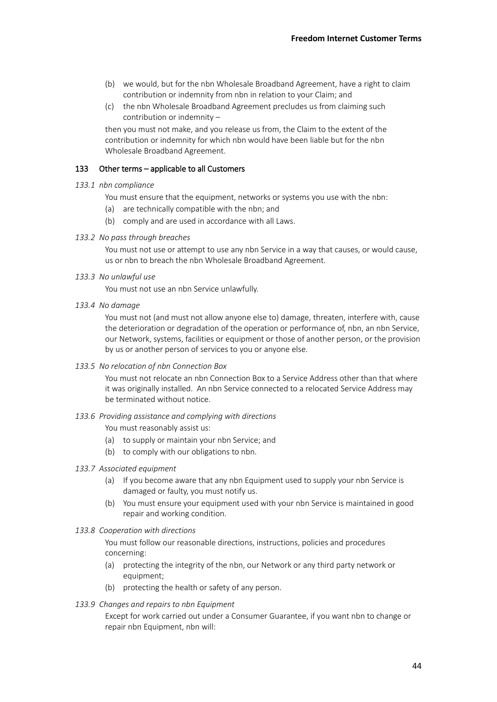- (b) we would, but for the nbn Wholesale Broadband Agreement, have a right to claim contribution or indemnity from nbn in relation to your Claim; and
- (c) the nbn Wholesale Broadband Agreement precludes us from claiming such contribution or indemnity –

then you must not make, and you release us from, the Claim to the extent of the contribution or indemnity for which nbn would have been liable but for the nbn Wholesale Broadband Agreement.

### 133 Other terms – applicable to all Customers

#### *133.1 nbn compliance*

You must ensure that the equipment, networks or systems you use with the nbn:

- (a) are technically compatible with the nbn; and
- (b) comply and are used in accordance with all Laws.

#### <span id="page-43-0"></span>*133.2 No pass through breaches*

You must not use or attempt to use any nbn Service in a way that causes, or would cause, us or nbn to breach the nbn Wholesale Broadband Agreement.

#### <span id="page-43-1"></span>*133.3 No unlawful use*

You must not use an nbn Service unlawfully.

<span id="page-43-2"></span>*133.4 No damage*

You must not (and must not allow anyone else to) damage, threaten, interfere with, cause the deterioration or degradation of the operation or performance of, nbn, an nbn Service, our Network, systems, facilities or equipment or those of another person, or the provision by us or another person of services to you or anyone else.

### *133.5 No relocation of nbn Connection Box*

You must not relocate an nbn Connection Box to a Service Address other than that where it was originally installed. An nbn Service connected to a relocated Service Address may be terminated without notice.

#### <span id="page-43-3"></span>*133.6 Providing assistance and complying with directions*

You must reasonably assist us:

- (a) to supply or maintain your nbn Service; and
- (b) to comply with our obligations to nbn.

### *133.7 Associated equipment*

- (a) If you become aware that any nbn Equipment used to supply your nbn Service is damaged or faulty, you must notify us.
- (b) You must ensure your equipment used with your nbn Service is maintained in good repair and working condition.
- *133.8 Cooperation with directions*

You must follow our reasonable directions, instructions, policies and procedures concerning:

- (a) protecting the integrity of the nbn, our Network or any third party network or equipment;
- (b) protecting the health or safety of any person.
- *133.9 Changes and repairs to nbn Equipment*

Except for work carried out under a Consumer Guarantee, if you want nbn to change or repair nbn Equipment, nbn will: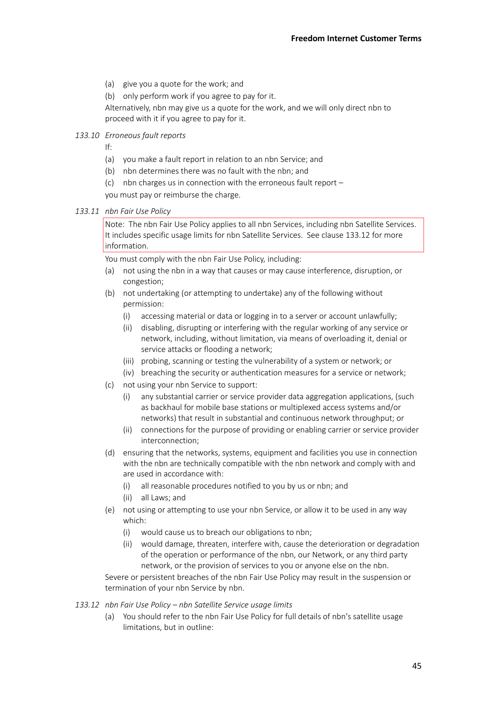- (a) give you a quote for the work; and
- (b) only perform work if you agree to pay for it.

Alternatively, nbn may give us a quote for the work, and we will only direct nbn to proceed with it if you agree to pay for it.

*133.10 Erroneous fault reports*

- If:
- (a) you make a fault report in relation to an nbn Service; and
- (b) nbn determines there was no fault with the nbn; and
- (c) nbn charges us in connection with the erroneous fault report –

you must pay or reimburse the charge.

## <span id="page-44-0"></span>*133.11 nbn Fair Use Policy*

Note: The nbn Fair Use Policy applies to all nbn Services, including nbn Satellite Services. It includes specific usage limits for nbn Satellite Services. See claus[e 133.12](#page-44-1) for more information.

You must comply with the nbn Fair Use Policy, including:

- (a) not using the nbn in a way that causes or may cause interference, disruption, or congestion;
- (b) not undertaking (or attempting to undertake) any of the following without permission:
	- (i) accessing material or data or logging in to a server or account unlawfully;
	- (ii) disabling, disrupting or interfering with the regular working of any service or network, including, without limitation, via means of overloading it, denial or service attacks or flooding a network;
	- (iii) probing, scanning or testing the vulnerability of a system or network; or
	- (iv) breaching the security or authentication measures for a service or network;
- (c) not using your nbn Service to support:
	- (i) any substantial carrier or service provider data aggregation applications, (such as backhaul for mobile base stations or multiplexed access systems and/or networks) that result in substantial and continuous network throughput; or
	- (ii) connections for the purpose of providing or enabling carrier or service provider interconnection;
- (d) ensuring that the networks, systems, equipment and facilities you use in connection with the nbn are technically compatible with the nbn network and comply with and are used in accordance with:
	- (i) all reasonable procedures notified to you by us or nbn; and
	- (ii) all Laws; and
- (e) not using or attempting to use your nbn Service, or allow it to be used in any way which:
	- (i) would cause us to breach our obligations to nbn;
	- (ii) would damage, threaten, interfere with, cause the deterioration or degradation of the operation or performance of the nbn, our Network, or any third party network, or the provision of services to you or anyone else on the nbn.

Severe or persistent breaches of the nbn Fair Use Policy may result in the suspension or termination of your nbn Service by nbn.

- <span id="page-44-1"></span>*133.12 nbn Fair Use Policy – nbn Satellite Service usage limits*
	- (a) You should refer to the nbn Fair Use Policy for full details of nbn's satellite usage limitations, but in outline: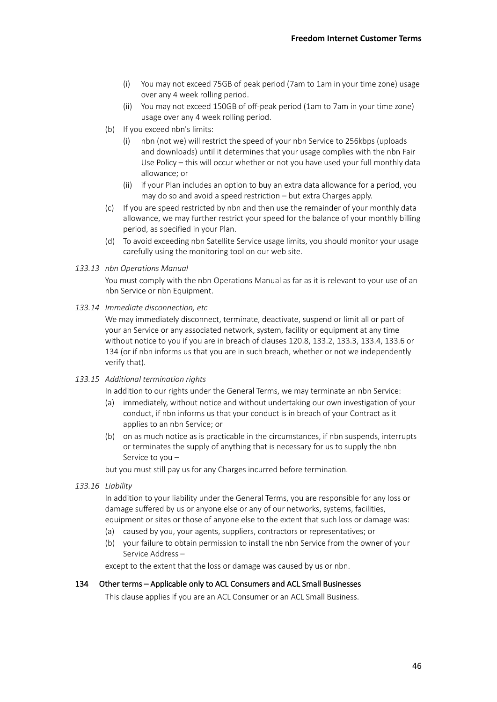- (i) You may not exceed 75GB of peak period (7am to 1am in your time zone) usage over any 4 week rolling period.
- (ii) You may not exceed 150GB of off-peak period (1am to 7am in your time zone) usage over any 4 week rolling period.
- (b) If you exceed nbn's limits:
	- (i) nbn (not we) will restrict the speed of your nbn Service to 256kbps (uploads and downloads) until it determines that your usage complies with the nbn Fair Use Policy – this will occur whether or not you have used your full monthly data allowance; or
	- (ii) if your Plan includes an option to buy an extra data allowance for a period, you may do so and avoid a speed restriction – but extra Charges apply.
- (c) If you are speed restricted by nbn and then use the remainder of your monthly data allowance, we may further restrict your speed for the balance of your monthly billing period, as specified in your Plan.
- (d) To avoid exceeding nbn Satellite Service usage limits, you should monitor your usage carefully using the monitoring tool on our web site.

#### *133.13 nbn Operations Manual*

You must comply with the nbn Operations Manual as far as it is relevant to your use of an nbn Service or nbn Equipment.

*133.14 Immediate disconnection, etc*

We may immediately disconnect, terminate, deactivate, suspend or limit all or part of your an Service or any associated network, system, facility or equipment at any time without notice to you if you are in breach of clauses [120.8,](#page-39-0) [133.2,](#page-43-0) [133.3,](#page-43-1) [133.4,](#page-43-2) [133.6](#page-43-3) or [134](#page-45-0) (or if nbn informs us that you are in such breach, whether or not we independently verify that).

*133.15 Additional termination rights*

In addition to our rights under the General Terms, we may terminate an nbn Service:

- (a) immediately, without notice and without undertaking our own investigation of your conduct, if nbn informs us that your conduct is in breach of your Contract as it applies to an nbn Service; or
- (b) on as much notice as is practicable in the circumstances, if nbn suspends, interrupts or terminates the supply of anything that is necessary for us to supply the nbn Service to you –

but you must still pay us for any Charges incurred before termination.

*133.16 Liability*

In addition to your liability under the General Terms, you are responsible for any loss or damage suffered by us or anyone else or any of our networks, systems, facilities, equipment or sites or those of anyone else to the extent that such loss or damage was:

- (a) caused by you, your agents, suppliers, contractors or representatives; or
- (b) your failure to obtain permission to install the nbn Service from the owner of your Service Address –

except to the extent that the loss or damage was caused by us or nbn.

#### <span id="page-45-0"></span>134 Other terms – Applicable only to ACL Consumers and ACL Small Businesses

This clause applies if you are an ACL Consumer or an ACL Small Business.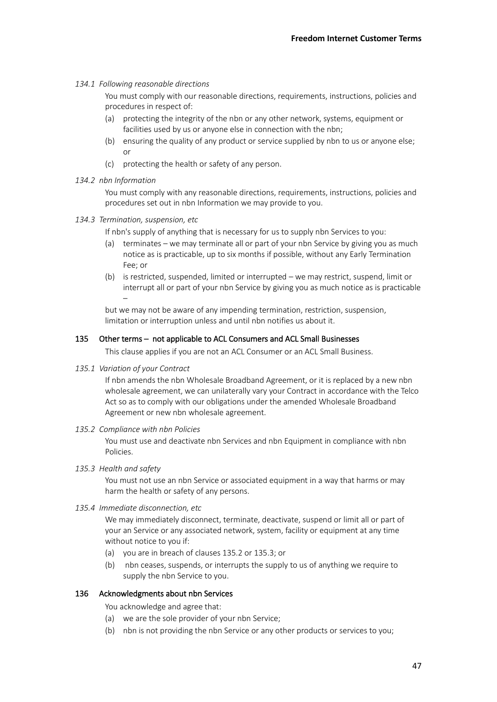## *134.1 Following reasonable directions*

You must comply with our reasonable directions, requirements, instructions, policies and procedures in respect of:

- (a) protecting the integrity of the nbn or any other network, systems, equipment or facilities used by us or anyone else in connection with the nbn;
- (b) ensuring the quality of any product or service supplied by nbn to us or anyone else; or
- (c) protecting the health or safety of any person.
- *134.2 nbn Information*

You must comply with any reasonable directions, requirements, instructions, policies and procedures set out in nbn Information we may provide to you.

- *134.3 Termination, suspension, etc*
	- If nbn's supply of anything that is necessary for us to supply nbn Services to you:
	- (a) terminates we may terminate all or part of your nbn Service by giving you as much notice as is practicable, up to six months if possible, without any Early Termination Fee; or
	- (b) is restricted, suspended, limited or interrupted we may restrict, suspend, limit or interrupt all or part of your nbn Service by giving you as much notice as is practicable –

but we may not be aware of any impending termination, restriction, suspension, limitation or interruption unless and until nbn notifies us about it.

### 135 Other terms – not applicable to ACL Consumers and ACL Small Businesses

This clause applies if you are not an ACL Consumer or an ACL Small Business.

#### *135.1 Variation of your Contract*

If nbn amends the nbn Wholesale Broadband Agreement, or it is replaced by a new nbn wholesale agreement, we can unilaterally vary your Contract in accordance with the Telco Act so as to comply with our obligations under the amended Wholesale Broadband Agreement or new nbn wholesale agreement.

#### <span id="page-46-0"></span>*135.2 Compliance with nbn Policies*

You must use and deactivate nbn Services and nbn Equipment in compliance with nbn Policies.

<span id="page-46-1"></span>*135.3 Health and safety*

You must not use an nbn Service or associated equipment in a way that harms or may harm the health or safety of any persons.

### *135.4 Immediate disconnection, etc*

We may immediately disconnect, terminate, deactivate, suspend or limit all or part of your an Service or any associated network, system, facility or equipment at any time without notice to you if:

- (a) you are in breach of clause[s 135.2](#page-46-0) o[r 135.3;](#page-46-1) or
- (b) nbn ceases, suspends, or interrupts the supply to us of anything we require to supply the nbn Service to you.

#### 136 Acknowledgments about nbn Services

You acknowledge and agree that:

- (a) we are the sole provider of your nbn Service;
- (b) nbn is not providing the nbn Service or any other products or services to you;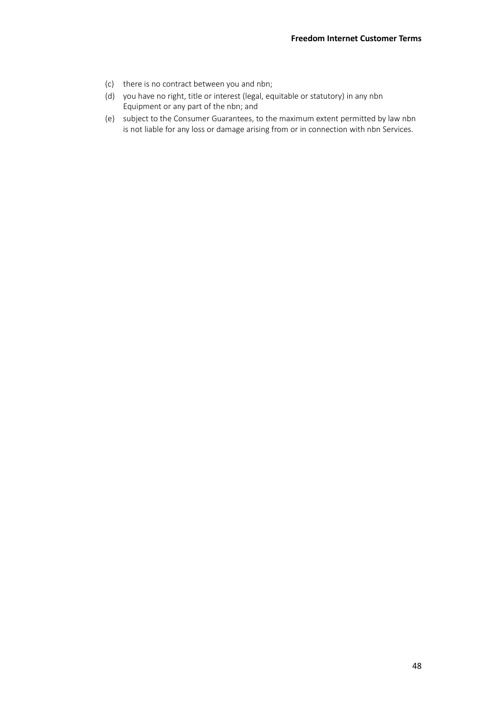- (c) there is no contract between you and nbn;
- (d) you have no right, title or interest (legal, equitable or statutory) in any nbn Equipment or any part of the nbn; and
- (e) subject to the Consumer Guarantees, to the maximum extent permitted by law nbn is not liable for any loss or damage arising from or in connection with nbn Services.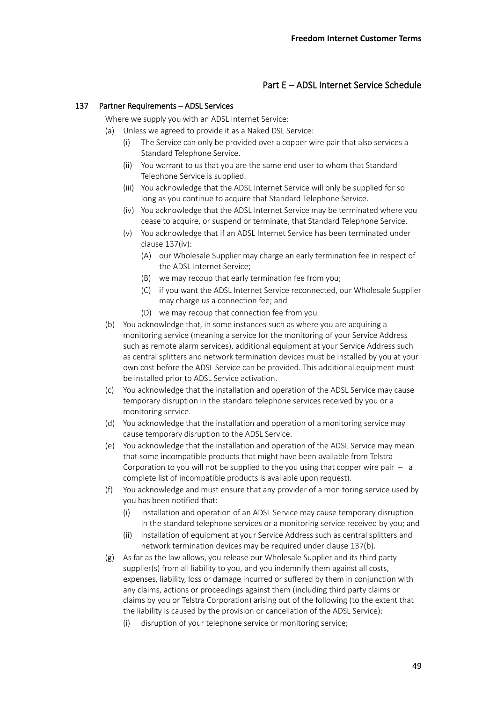# Part E – ADSL Internet Service Schedule

#### <span id="page-48-0"></span>137 Partner Requirements – ADSL Services

Where we supply you with an ADSL Internet Service:

- <span id="page-48-1"></span>(a) Unless we agreed to provide it as a Naked DSL Service:
	- (i) The Service can only be provided over a copper wire pair that also services a Standard Telephone Service.
	- (ii) You warrant to us that you are the same end user to whom that Standard Telephone Service is supplied.
	- (iii) You acknowledge that the ADSL Internet Service will only be supplied for so long as you continue to acquire that Standard Telephone Service.
	- (iv) You acknowledge that the ADSL Internet Service may be terminated where you cease to acquire, or suspend or terminate, that Standard Telephone Service.
	- (v) You acknowledge that if an ADSL Internet Service has been terminated under clause [137](#page-48-0)[\(iv\):](#page-48-1)
		- (A) our Wholesale Supplier may charge an early termination fee in respect of the ADSL Internet Service;
		- (B) we may recoup that early termination fee from you;
		- (C) if you want the ADSL Internet Service reconnected, our Wholesale Supplier may charge us a connection fee; and
		- (D) we may recoup that connection fee from you.
- <span id="page-48-2"></span>(b) You acknowledge that, in some instances such as where you are acquiring a monitoring service (meaning a service for the monitoring of your Service Address such as remote alarm services), additional equipment at your Service Address such as central splitters and network termination devices must be installed by you at your own cost before the ADSL Service can be provided. This additional equipment must be installed prior to ADSL Service activation.
- (c) You acknowledge that the installation and operation of the ADSL Service may cause temporary disruption in the standard telephone services received by you or a monitoring service.
- (d) You acknowledge that the installation and operation of a monitoring service may cause temporary disruption to the ADSL Service.
- (e) You acknowledge that the installation and operation of the ADSL Service may mean that some incompatible products that might have been available from Telstra Corporation to you will not be supplied to the you using that copper wire pair  $-$  a complete list of incompatible products is available upon request).
- (f) You acknowledge and must ensure that any provider of a monitoring service used by you has been notified that:
	- (i) installation and operation of an ADSL Service may cause temporary disruption in the standard telephone services or a monitoring service received by you; and
	- (ii) installation of equipment at your Service Address such as central splitters and network termination devices may be required under clause [137](#page-48-0)[\(b\).](#page-48-2)
- (g) As far as the law allows, you release our Wholesale Supplier and its third party supplier(s) from all liability to you, and you indemnify them against all costs, expenses, liability, loss or damage incurred or suffered by them in conjunction with any claims, actions or proceedings against them (including third party claims or claims by you or Telstra Corporation) arising out of the following (to the extent that the liability is caused by the provision or cancellation of the ADSL Service):
	- (i) disruption of your telephone service or monitoring service;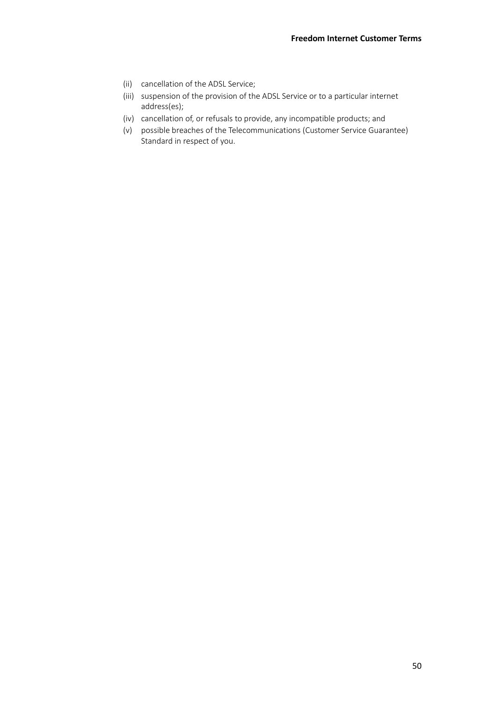- (ii) cancellation of the ADSL Service;
- (iii) suspension of the provision of the ADSL Service or to a particular internet address(es);
- (iv) cancellation of, or refusals to provide, any incompatible products; and
- (v) possible breaches of the Telecommunications (Customer Service Guarantee) Standard in respect of you.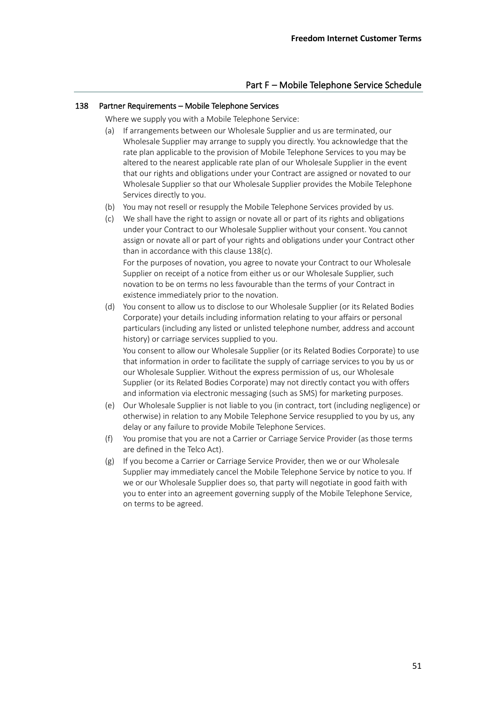# Part F – Mobile Telephone Service Schedule

## <span id="page-50-0"></span>138 Partner Requirements – Mobile Telephone Services

Where we supply you with a Mobile Telephone Service:

- (a) If arrangements between our Wholesale Supplier and us are terminated, our Wholesale Supplier may arrange to supply you directly. You acknowledge that the rate plan applicable to the provision of Mobile Telephone Services to you may be altered to the nearest applicable rate plan of our Wholesale Supplier in the event that our rights and obligations under your Contract are assigned or novated to our Wholesale Supplier so that our Wholesale Supplier provides the Mobile Telephone Services directly to you.
- (b) You may not resell or resupply the Mobile Telephone Services provided by us.
- <span id="page-50-1"></span>(c) We shall have the right to assign or novate all or part of its rights and obligations under your Contract to our Wholesale Supplier without your consent. You cannot assign or novate all or part of your rights and obligations under your Contract other than in accordance with this clause [138](#page-50-0)[\(c\).](#page-50-1) For the purposes of novation, you agree to novate your Contract to our Wholesale Supplier on receipt of a notice from either us or our Wholesale Supplier, such

novation to be on terms no less favourable than the terms of your Contract in existence immediately prior to the novation.

(d) You consent to allow us to disclose to our Wholesale Supplier (or its Related Bodies Corporate) your details including information relating to your affairs or personal particulars (including any listed or unlisted telephone number, address and account history) or carriage services supplied to you.

You consent to allow our Wholesale Supplier (or its Related Bodies Corporate) to use that information in order to facilitate the supply of carriage services to you by us or our Wholesale Supplier. Without the express permission of us, our Wholesale Supplier (or its Related Bodies Corporate) may not directly contact you with offers and information via electronic messaging (such as SMS) for marketing purposes.

- (e) Our Wholesale Supplier is not liable to you (in contract, tort (including negligence) or otherwise) in relation to any Mobile Telephone Service resupplied to you by us, any delay or any failure to provide Mobile Telephone Services.
- (f) You promise that you are not a Carrier or Carriage Service Provider (as those terms are defined in the Telco Act).
- (g) If you become a Carrier or Carriage Service Provider, then we or our Wholesale Supplier may immediately cancel the Mobile Telephone Service by notice to you. If we or our Wholesale Supplier does so, that party will negotiate in good faith with you to enter into an agreement governing supply of the Mobile Telephone Service, on terms to be agreed.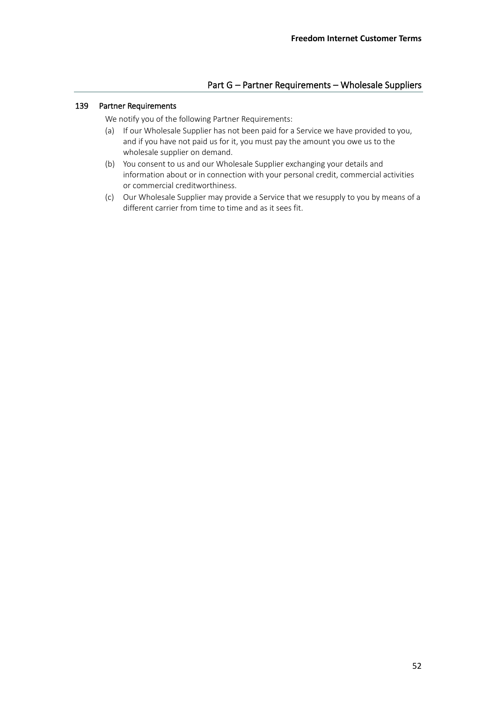# Part G – Partner Requirements – Wholesale Suppliers

## 139 Partner Requirements

We notify you of the following Partner Requirements:

- (a) If our Wholesale Supplier has not been paid for a Service we have provided to you, and if you have not paid us for it, you must pay the amount you owe us to the wholesale supplier on demand.
- (b) You consent to us and our Wholesale Supplier exchanging your details and information about or in connection with your personal credit, commercial activities or commercial creditworthiness.
- (c) Our Wholesale Supplier may provide a Service that we resupply to you by means of a different carrier from time to time and as it sees fit.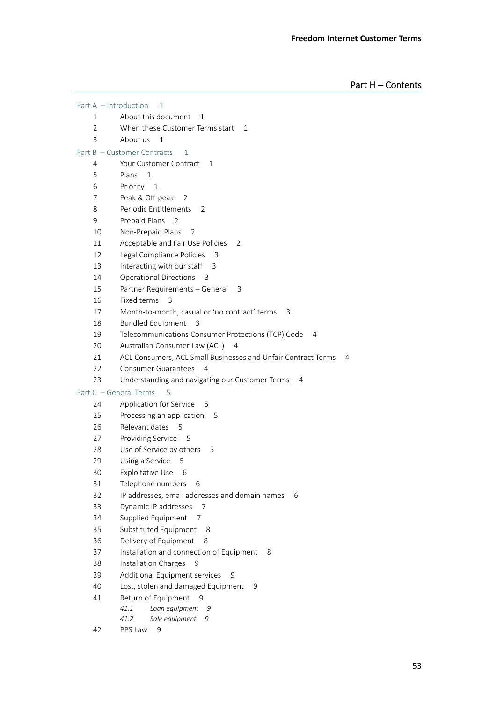Part H – Contents

Part A – Introduction 1 1 About this document 1 2 When these Customer Terms start 1 3 About us 1 Part B – Customer Contracts 1 4 Your Customer Contract 1 5 Plans 1 6 Priority 1 7 Peak & Off-peak 2 8 Periodic Entitlements 2 9 Prepaid Plans 2 10 Non-Prepaid Plans 2 11 Acceptable and Fair Use Policies 2 12 Legal Compliance Policies 3 13 Interacting with our staff 3 14 Operational Directions 3 15 Partner Requirements – General 3 16 Fixed terms 3 17 Month-to-month, casual or 'no contract' terms 3 18 Bundled Equipment 3 19 Telecommunications Consumer Protections (TCP) Code 4 20 Australian Consumer Law (ACL) 4 21 ACL Consumers, ACL Small Businesses and Unfair Contract Terms 4 22 Consumer Guarantees 4 23 Understanding and navigating our Customer Terms 4 Part C – General Terms 5 24 Application for Service 5 25 Processing an application 5 26 Relevant dates 5 27 Providing Service 5 28 Use of Service by others 5 29 Using a Service 5 30 Exploitative Use 6 31 Telephone numbers 6 32 IP addresses, email addresses and domain names 6 33 Dynamic IP addresses 7 34 Supplied Equipment 7 35 Substituted Equipment 8 36 Delivery of Equipment 8 37 Installation and connection of Equipment 8 38 Installation Charges 9 39 Additional Equipment services 9 40 Lost, stolen and damaged Equipment 9 41 Return of Equipment 9 *41.1 Loan equipment 9 41.2 Sale equipment 9* 42 PPS Law 9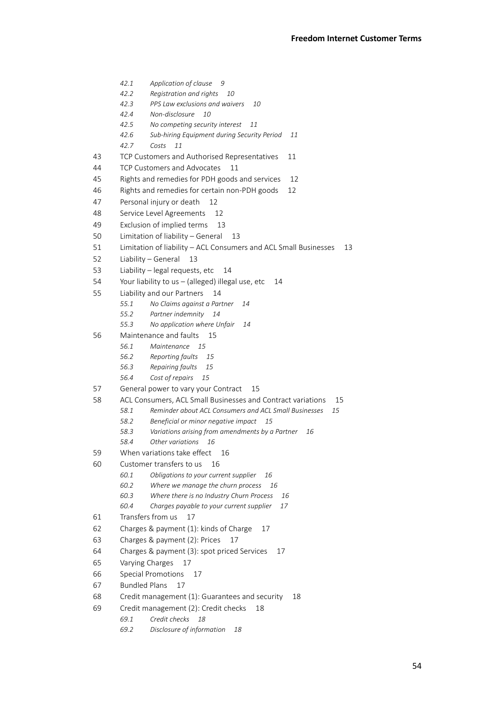*42.1 Application of clause 9 42.2 Registration and rights 10 42.3 PPS Law exclusions and waivers 10 42.4 Non-disclosure 10 42.5 No competing security interest 11 42.6 Sub-hiring Equipment during Security Period 11 42.7 Costs 11* 43 TCP Customers and Authorised Representatives 11 44 TCP Customers and Advocates 11 45 Rights and remedies for PDH goods and services 12 46 Rights and remedies for certain non-PDH goods 12 47 Personal injury or death 12 48 Service Level Agreements 12 49 Exclusion of implied terms 13 50 Limitation of liability – General 13 51 Limitation of liability – ACL Consumers and ACL Small Businesses 13 52 Liability – General 13 53 Liability – legal requests, etc 14 54 Your liability to us – (alleged) illegal use, etc 14 55 Liability and our Partners 14 *55.1 No Claims against a Partner 14 55.2 Partner indemnity 14 55.3 No application where Unfair 14* 56 Maintenance and faults 15 *56.1 Maintenance 15 56.2 Reporting faults 15 56.3 Repairing faults 15 56.4 Cost of repairs 15* 57 General power to vary your Contract 15 58 ACL Consumers, ACL Small Businesses and Contract variations 15 *58.1 Reminder about ACL Consumers and ACL Small Businesses 15 58.2 Beneficial or minor negative impact 15 58.3 Variations arising from amendments by a Partner 16 58.4 Other variations 16* 59 When variations take effect 16 60 Customer transfers to us 16 *60.1 Obligations to your current supplier 16 60.2 Where we manage the churn process 16 60.3 Where there is no Industry Churn Process 16 60.4 Charges payable to your current supplier 17* 61 Transfers from us 17 62 Charges & payment (1): kinds of Charge 17 63 Charges & payment (2): Prices 17 64 Charges & payment (3): spot priced Services 17 65 Varying Charges 17 66 Special Promotions 17 67 Bundled Plans 17 68 Credit management (1): Guarantees and security 18 69 Credit management (2): Credit checks 18 *69.1 Credit checks 18*

*69.2 Disclosure of information 18*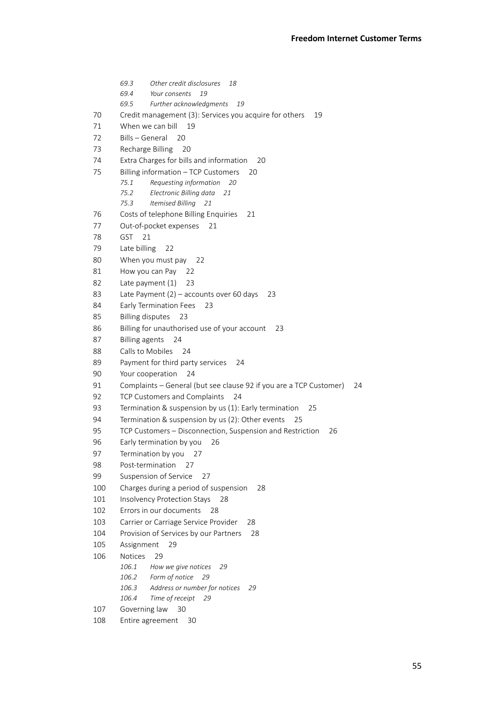*69.3 Other credit disclosures 18 69.4 Your consents 19 69.5 Further acknowledgments 19* 70 Credit management (3): Services you acquire for others 19 71 When we can bill 19 72 Bills – General 20 73 Recharge Billing 20 74 Extra Charges for bills and information 20 75 Billing information – TCP Customers 20 *75.1 Requesting information 20 75.2 Electronic Billing data 21 75.3 Itemised Billing 21* 76 Costs of telephone Billing Enquiries 21 77 Out-of-pocket expenses 21 78 GST 21 79 Late billing 22 80 When you must pay 22 81 How you can Pay 22 82 Late payment (1) 23 83 Late Payment (2) – accounts over 60 days 23 84 Early Termination Fees 23 85 Billing disputes 23 86 Billing for unauthorised use of your account 23 87 Billing agents 24 88 Calls to Mobiles 24 89 Payment for third party services 24 90 Your cooperation 24 91 Complaints – General (but see clause 92 if you are a TCP Customer) 24 92 TCP Customers and Complaints 24 93 Termination & suspension by us (1): Early termination 25 94 Termination & suspension by us (2): Other events 25 95 TCP Customers – Disconnection, Suspension and Restriction 26 96 Early termination by you 26 97 Termination by you 27 98 Post-termination 27 99 Suspension of Service 27 100 Charges during a period of suspension 28 101 Insolvency Protection Stays 28 102 Errors in our documents 28 103 Carrier or Carriage Service Provider 28 104 Provision of Services by our Partners 28 105 Assignment 29 106 Notices 29 *106.1 How we give notices 29 106.2 Form of notice 29 106.3 Address or number for notices 29 106.4 Time of receipt 29* 107 Governing law 30 108 Entire agreement 30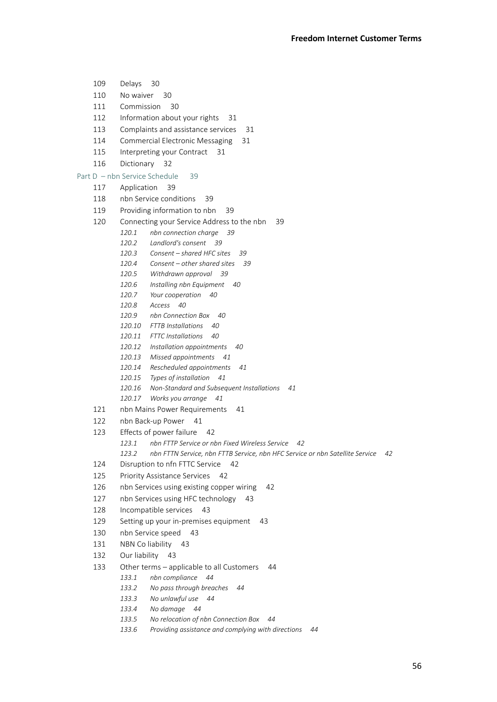- 109 Delays 30 110 No waiver 30 111 Commission 30 112 Information about your rights 31 113 Complaints and assistance services 31 114 Commercial Electronic Messaging 31 115 Interpreting your Contract 31 116 Dictionary 32 Part D – nbn Service Schedule 39 117 Application 39 118 nbn Service conditions 39 119 Providing information to nbn 39 120 Connecting your Service Address to the nbn 39 *120.1 nbn connection charge 39 120.2 Landlord's consent 39 120.3 Consent – shared HFC sites 39 120.4 Consent – other shared sites 39 120.5 Withdrawn approval 39 120.6 Installing nbn Equipment 40 120.7 Your cooperation 40 120.8 Access 40 120.9 nbn Connection Box 40 120.10 FTTB Installations 40 120.11 FTTC Installations 40 120.12 Installation appointments 40 120.13 Missed appointments 41 120.14 Rescheduled appointments 41 120.15 Types of installation 41 120.16 Non-Standard and Subsequent Installations 41 120.17 Works you arrange 41* 121 nbn Mains Power Requirements 41 122 nbn Back-up Power 41 123 Effects of power failure 42 *123.1 nbn FTTP Service or nbn Fixed Wireless Service 42 123.2 nbn FTTN Service, nbn FTTB Service, nbn HFC Service or nbn Satellite Service 42* 124 Disruption to nfn FTTC Service 42 125 Priority Assistance Services 42 126 nbn Services using existing copper wiring 42 127 nbn Services using HFC technology 43 128 Incompatible services 43 129 Setting up your in-premises equipment 43 130 nbn Service speed 43 131 NBN Co liability 43 132 Our liability 43 133 Other terms – applicable to all Customers 44 *133.1 nbn compliance 44 133.2 No pass through breaches 44 133.3 No unlawful use 44 133.4 No damage 44 133.5 No relocation of nbn Connection Box 44 133.6 Providing assistance and complying with directions 44*
- 56